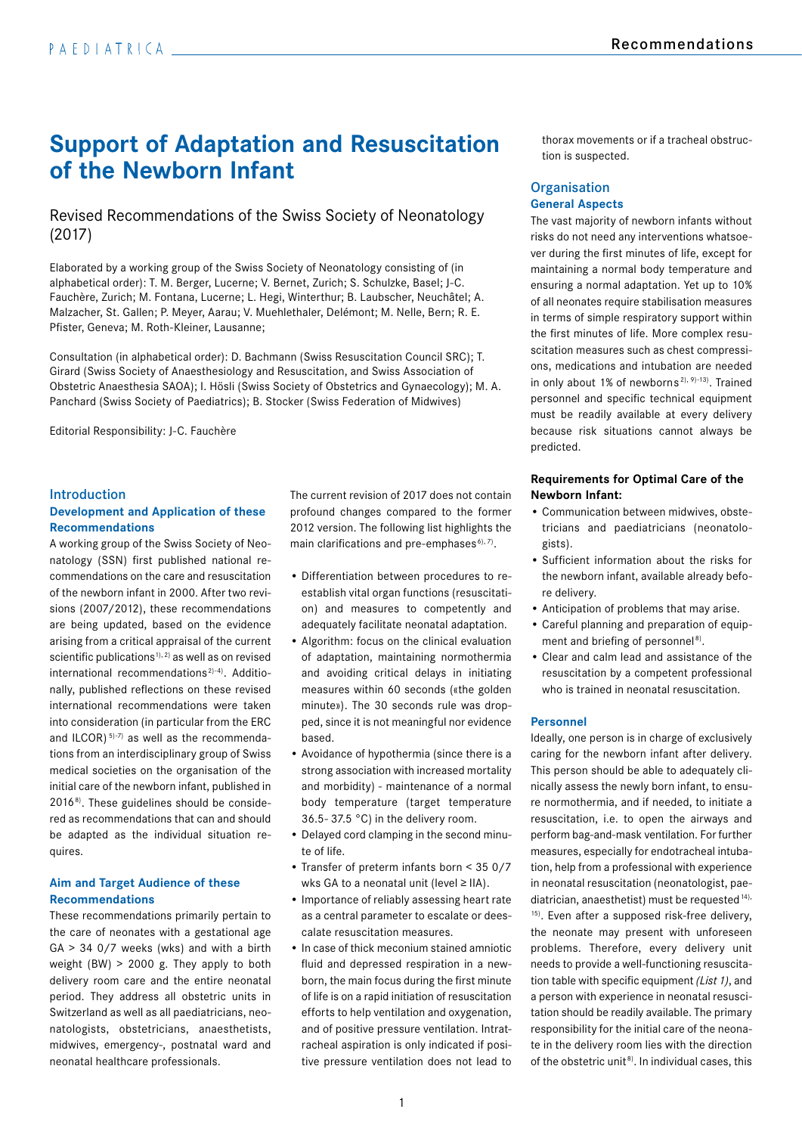# **Support of Adaptation and Resuscitation of the Newborn Infant**

# Revised Recommendations of the Swiss Society of Neonatology (2017)

Elaborated by a working group of the Swiss Society of Neonatology consisting of (in alphabetical order): T. M. Berger, Lucerne; V. Bernet, Zurich; S. Schulzke, Basel; J-C. Fauchère, Zurich; M. Fontana, Lucerne; L. Hegi, Winterthur; B. Laubscher, Neuchâtel; A. Malzacher, St. Gallen; P. Meyer, Aarau; V. Muehlethaler, Delémont; M. Nelle, Bern; R. E. Pfister, Geneva; M. Roth-Kleiner, Lausanne;

Consultation (in alphabetical order): D. Bachmann (Swiss Resuscitation Council SRC); T. Girard (Swiss Society of Anaesthesiology and Resuscitation, and Swiss Association of Obstetric Anaesthesia SAOA); I. Hösli (Swiss Society of Obstetrics and Gynaecology); M. A. Panchard (Swiss Society of Paediatrics); B. Stocker (Swiss Federation of Midwives)

Editorial Responsibility: J-C. Fauchère

# Introduction **Development and Application of these Recommendations**

A working group of the Swiss Society of Neonatology (SSN) first published national recommendations on the care and resuscitation of the newborn infant in 2000. After two revisions (2007/2012), these recommendations are being updated, based on the evidence arising from a critical appraisal of the current scientific publications<sup>1), 2)</sup> as well as on revised international recommendations<sup> $2)$ -4)</sup>. Additionally, published reflections on these revised international recommendations were taken into consideration (in particular from the ERC and ILCOR)<sup> $5$ -7)</sup> as well as the recommendations from an interdisciplinary group of Swiss medical societies on the organisation of the initial care of the newborn infant, published in 20168). These guidelines should be considered as recommendations that can and should be adapted as the individual situation requires.

# **Aim and Target Audience of these Recommendations**

These recommendations primarily pertain to the care of neonates with a gestational age  $GA > 34$  0/7 weeks (wks) and with a birth weight (BW) > 2000 g. They apply to both delivery room care and the entire neonatal period. They address all obstetric units in Switzerland as well as all paediatricians, neonatologists, obstetricians, anaesthetists, midwives, emergency-, postnatal ward and neonatal healthcare professionals.

The current revision of 2017 does not contain profound changes compared to the former 2012 version. The following list highlights the main clarifications and pre-emphases $^{6,7}$ .

- Differentiation between procedures to reestablish vital organ functions (resuscitation) and measures to competently and adequately facilitate neonatal adaptation.
- Algorithm: focus on the clinical evaluation of adaptation, maintaining normothermia and avoiding critical delays in initiating measures within 60 seconds («the golden minute»). The 30 seconds rule was dropped, since it is not meaningful nor evidence based.
- Avoidance of hypothermia (since there is a strong association with increased mortality and morbidity) - maintenance of a normal body temperature (target temperature 36.5- 37.5 °C) in the delivery room.
- Delayed cord clamping in the second minute of life.
- Transfer of preterm infants born < 35 0/7 wks GA to a neonatal unit (level ≥ IIA).
- Importance of reliably assessing heart rate as a central parameter to escalate or deescalate resuscitation measures.
- In case of thick meconium stained amniotic fluid and depressed respiration in a newborn, the main focus during the first minute of life is on a rapid initiation of resuscitation efforts to help ventilation and oxygenation, and of positive pressure ventilation. Intratracheal aspiration is only indicated if positive pressure ventilation does not lead to

thorax movements or if a tracheal obstruction is suspected.

# **Organisation General Aspects**

The vast majority of newborn infants without risks do not need any interventions whatsoever during the first minutes of life, except for maintaining a normal body temperature and ensuring a normal adaptation. Yet up to 10% of all neonates require stabilisation measures in terms of simple respiratory support within the first minutes of life. More complex resuscitation measures such as chest compressions, medications and intubation are needed in only about 1% of newborns 2), 9)-13). Trained personnel and specific technical equipment must be readily available at every delivery because risk situations cannot always be predicted.

## **Requirements for Optimal Care of the Newborn Infant:**

- Communication between midwives, obstetricians and paediatricians (neonatologists).
- Sufficient information about the risks for the newborn infant, available already before delivery.
- Anticipation of problems that may arise.
- Careful planning and preparation of equipment and briefing of personnel<sup>8)</sup>.
- Clear and calm lead and assistance of the resuscitation by a competent professional who is trained in neonatal resuscitation

## **Personnel**

Ideally, one person is in charge of exclusively caring for the newborn infant after delivery. This person should be able to adequately clinically assess the newly born infant, to ensure normothermia, and if needed, to initiate a resuscitation, i.e. to open the airways and perform bag-and-mask ventilation. For further measures, especially for endotracheal intubation, help from a professional with experience in neonatal resuscitation (neonatologist, paediatrician, anaesthetist) must be requested  $14$ , <sup>15)</sup>. Even after a supposed risk-free delivery, the neonate may present with unforeseen problems. Therefore, every delivery unit needs to provide a well-functioning resuscitation table with specific equipment *(List 1)*, and a person with experience in neonatal resuscitation should be readily available. The primary responsibility for the initial care of the neonate in the delivery room lies with the direction of the obstetric unit<sup>8)</sup>. In individual cases, this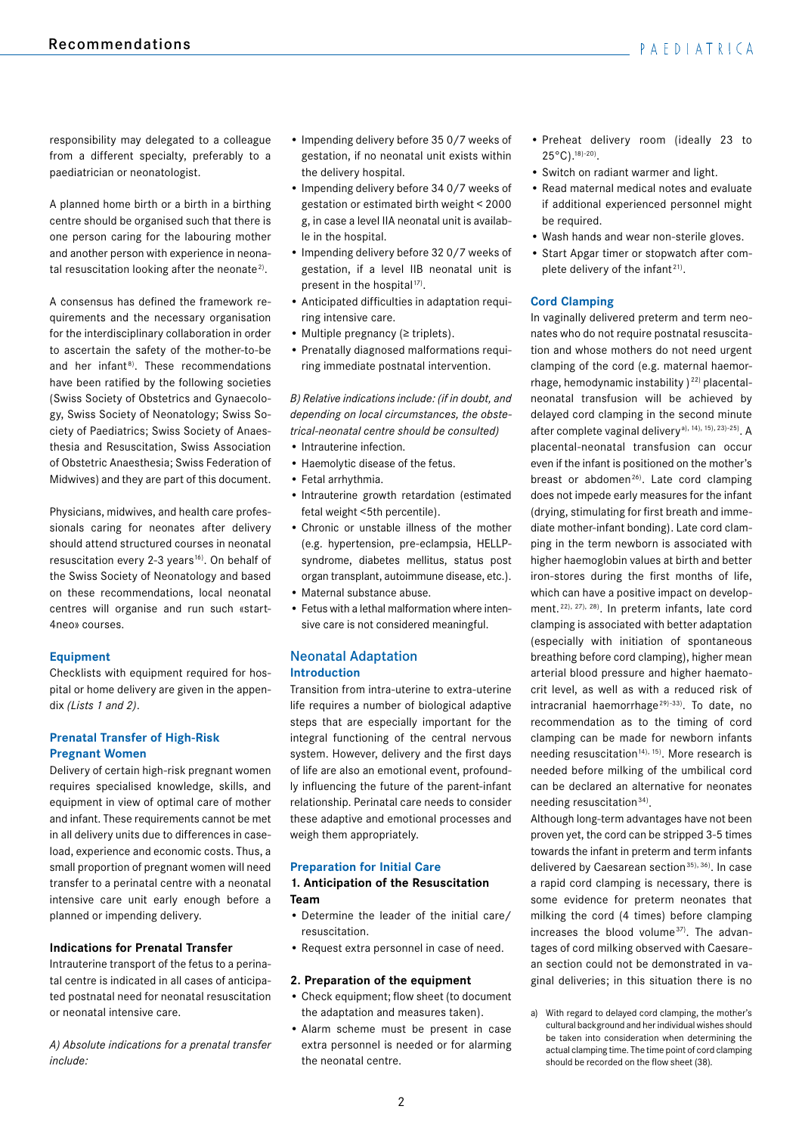responsibility may delegated to a colleague from a different specialty, preferably to a paediatrician or neonatologist.

A planned home birth or a birth in a birthing centre should be organised such that there is one person caring for the labouring mother and another person with experience in neonatal resuscitation looking after the neonate<sup>2)</sup>.

A consensus has defined the framework requirements and the necessary organisation for the interdisciplinary collaboration in order to ascertain the safety of the mother-to-be and her infant $8$ ). These recommendations have been ratified by the following societies (Swiss Society of Obstetrics and Gynaecology, Swiss Society of Neonatology; Swiss Society of Paediatrics; Swiss Society of Anaesthesia and Resuscitation, Swiss Association of Obstetric Anaesthesia; Swiss Federation of Midwives) and they are part of this document.

Physicians, midwives, and health care professionals caring for neonates after delivery should attend structured courses in neonatal resuscitation every 2-3 years<sup>16)</sup>. On behalf of the Swiss Society of Neonatology and based on these recommendations, local neonatal centres will organise and run such «start-4neo» courses.

# **Equipment**

Checklists with equipment required for hospital or home delivery are given in the appendix *(Lists 1 and 2)*.

# **Prenatal Transfer of High-Risk Pregnant Women**

Delivery of certain high-risk pregnant women requires specialised knowledge, skills, and equipment in view of optimal care of mother and infant. These requirements cannot be met in all delivery units due to differences in caseload, experience and economic costs. Thus, a small proportion of pregnant women will need transfer to a perinatal centre with a neonatal intensive care unit early enough before a planned or impending delivery.

#### **Indications for Prenatal Transfer**

Intrauterine transport of the fetus to a perinatal centre is indicated in all cases of anticipated postnatal need for neonatal resuscitation or neonatal intensive care.

*A) Absolute indications for a prenatal transfer include:*

- Impending delivery before 35 0/7 weeks of gestation, if no neonatal unit exists within the delivery hospital.
- Impending delivery before 34 0/7 weeks of gestation or estimated birth weight < 2000 g, in case a level IIA neonatal unit is available in the hospital.
- Impending delivery before 32 0/7 weeks of gestation, if a level IIB neonatal unit is present in the hospital<sup>17)</sup>.
- Anticipated difficulties in adaptation requiring intensive care.
- Multiple pregnancy (≥ triplets).
- Prenatally diagnosed malformations requiring immediate postnatal intervention.

*B) Relative indications include: (if in doubt, and depending on local circumstances, the obstetrical-neonatal centre should be consulted)*

- Intrauterine infection.
- Haemolytic disease of the fetus.
- Fetal arrhythmia.
- Intrauterine growth retardation (estimated fetal weight <5th percentile).
- Chronic or unstable illness of the mother (e.g. hypertension, pre-eclampsia, HELLPsyndrome, diabetes mellitus, status post organ transplant, autoimmune disease, etc.).
- Maternal substance abuse.
- Fetus with a lethal malformation where intensive care is not considered meaningful.

# Neonatal Adaptation **Introduction**

Transition from intra-uterine to extra-uterine life requires a number of biological adaptive steps that are especially important for the integral functioning of the central nervous system. However, delivery and the first days of life are also an emotional event, profoundly influencing the future of the parent-infant relationship. Perinatal care needs to consider these adaptive and emotional processes and weigh them appropriately.

#### **Preparation for Initial Care**

#### **1. Anticipation of the Resuscitation Team**

- Determine the leader of the initial care/ resuscitation.
- Request extra personnel in case of need.

#### **2. Preparation of the equipment**

- Check equipment; flow sheet (to document the adaptation and measures taken).
- Alarm scheme must be present in case extra personnel is needed or for alarming the neonatal centre.
- Preheat delivery room (ideally 23 to  $25^{\circ}$ C).<sup>18)-20)</sup>.
- Switch on radiant warmer and light.
- Read maternal medical notes and evaluate if additional experienced personnel might be required.
- Wash hands and wear non-sterile gloves.
- Start Apgar timer or stopwatch after complete delivery of the infant<sup>21)</sup>.

# **Cord Clamping**

In vaginally delivered preterm and term neonates who do not require postnatal resuscitation and whose mothers do not need urgent clamping of the cord (e.g. maternal haemorrhage, hemodynamic instability  $2^{22}$  placentalneonatal transfusion will be achieved by delayed cord clamping in the second minute after complete vaginal delivery<sup>a), 14</sup>), <sup>15), 23)-25)</sup>. A placental-neonatal transfusion can occur even if the infant is positioned on the mother's breast or abdomen<sup>26)</sup>. Late cord clamping does not impede early measures for the infant (drying, stimulating for first breath and immediate mother-infant bonding). Late cord clamping in the term newborn is associated with higher haemoglobin values at birth and better iron-stores during the first months of life, which can have a positive impact on development. 22), 27), 28). In preterm infants, late cord clamping is associated with better adaptation (especially with initiation of spontaneous breathing before cord clamping), higher mean arterial blood pressure and higher haematocrit level, as well as with a reduced risk of intracranial haemorrhage<sup>29)-33)</sup>. To date, no recommendation as to the timing of cord clamping can be made for newborn infants needing resuscitation<sup>14), 15</sup>). More research is needed before milking of the umbilical cord can be declared an alternative for neonates needing resuscitation 34).

Although long-term advantages have not been proven yet, the cord can be stripped 3-5 times towards the infant in preterm and term infants delivered by Caesarean section<sup>35), 36)</sup>. In case a rapid cord clamping is necessary, there is some evidence for preterm neonates that milking the cord (4 times) before clamping increases the blood volume<sup>37)</sup>. The advantages of cord milking observed with Caesarean section could not be demonstrated in vaginal deliveries; in this situation there is no

a) With regard to delayed cord clamping, the mother's cultural background and her individual wishes should be taken into consideration when determining the actual clamping time. The time point of cord clamping should be recorded on the flow sheet (38).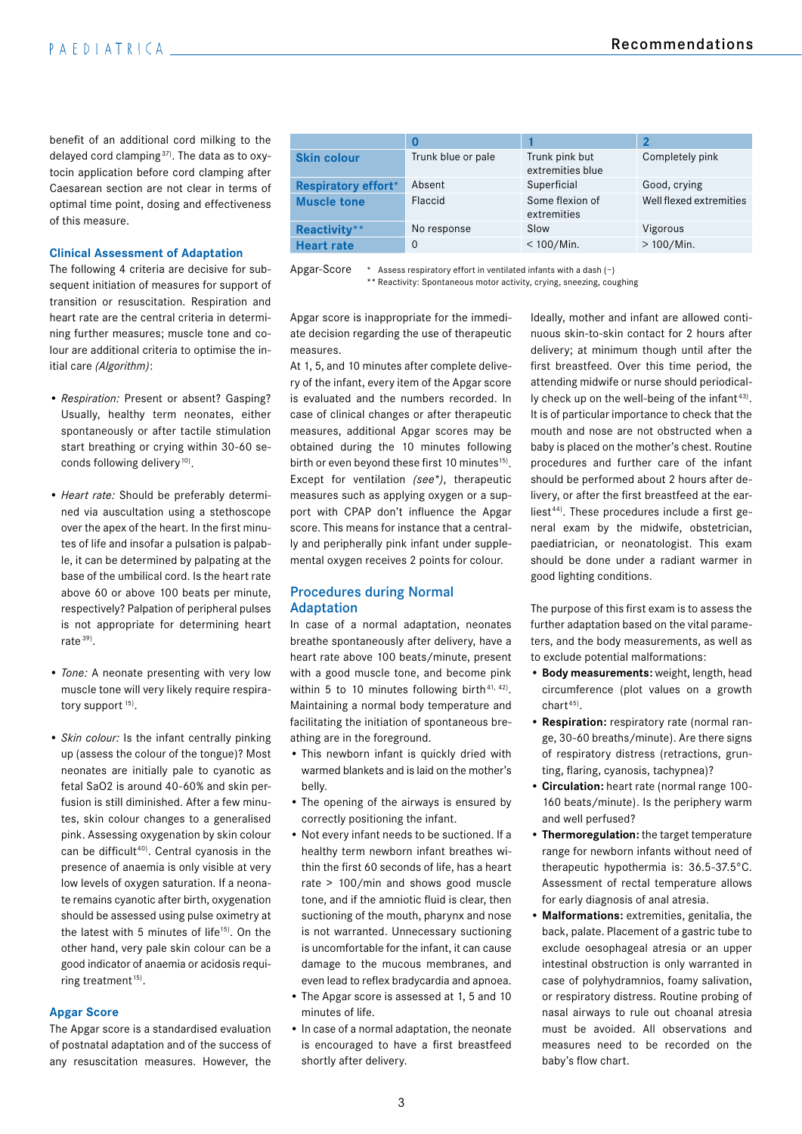benefit of an additional cord milking to the delayed cord clamping 37). The data as to oxytocin application before cord clamping after Caesarean section are not clear in terms of optimal time point, dosing and effectiveness of this measure.

#### **Clinical Assessment of Adaptation**

The following 4 criteria are decisive for subsequent initiation of measures for support of transition or resuscitation. Respiration and heart rate are the central criteria in determining further measures; muscle tone and colour are additional criteria to optimise the initial care *(Algorithm)*:

- *Respiration:* Present or absent? Gasping? Usually, healthy term neonates, either spontaneously or after tactile stimulation start breathing or crying within 30-60 seconds following delivery<sup>10)</sup>.
- *Heart rate:* Should be preferably determined via auscultation using a stethoscope over the apex of the heart. In the first minutes of life and insofar a pulsation is palpable, it can be determined by palpating at the base of the umbilical cord. Is the heart rate above 60 or above 100 beats per minute, respectively? Palpation of peripheral pulses is not appropriate for determining heart rate 39).
- *Tone:* A neonate presenting with very low muscle tone will very likely require respiratory support<sup>15)</sup>.
- *Skin colour:* Is the infant centrally pinking up (assess the colour of the tongue)? Most neonates are initially pale to cyanotic as fetal SaO2 is around 40-60% and skin perfusion is still diminished. After a few minutes, skin colour changes to a generalised pink. Assessing oxygenation by skin colour can be difficult<sup>40)</sup>. Central cyanosis in the presence of anaemia is only visible at very low levels of oxygen saturation. If a neonate remains cyanotic after birth, oxygenation should be assessed using pulse oximetry at the latest with 5 minutes of life<sup>15)</sup>. On the other hand, very pale skin colour can be a good indicator of anaemia or acidosis requiring treatment<sup>15)</sup>.

# **Apgar Score**

The Apgar score is a standardised evaluation of postnatal adaptation and of the success of any resuscitation measures. However, the

|                            | 0                  |                                    | $\overline{\mathbf{2}}$ |
|----------------------------|--------------------|------------------------------------|-------------------------|
| <b>Skin colour</b>         | Trunk blue or pale | Trunk pink but<br>extremities blue | Completely pink         |
| <b>Respiratory effort*</b> | Absent             | Superficial                        | Good, crying            |
| <b>Muscle tone</b>         | Flaccid            | Some flexion of<br>extremities     | Well flexed extremities |
| Reactivity**               | No response        | Slow                               | Vigorous                |
| <b>Heart rate</b>          | $\Omega$           | $< 100$ /Min.                      | $>100/Min$ .            |

Apgar-Score \* Assess respiratory effort in ventilated infants with a dash (−)

\*\* Reactivity: Spontaneous motor activity, crying, sneezing, coughing

Apgar score is inappropriate for the immediate decision regarding the use of therapeutic measures.

At 1, 5, and 10 minutes after complete delivery of the infant, every item of the Apgar score is evaluated and the numbers recorded. In case of clinical changes or after therapeutic measures, additional Apgar scores may be obtained during the 10 minutes following birth or even beyond these first 10 minutes<sup>15)</sup>. Except for ventilation *(see\*)*, therapeutic measures such as applying oxygen or a support with CPAP don't influence the Apgar score. This means for instance that a centrally and peripherally pink infant under supplemental oxygen receives 2 points for colour.

## Procedures during Normal Adaptation

In case of a normal adaptation, neonates breathe spontaneously after delivery, have a heart rate above 100 beats/minute, present with a good muscle tone, and become pink within 5 to 10 minutes following birth<sup>41, 42</sup>). Maintaining a normal body temperature and facilitating the initiation of spontaneous breathing are in the foreground.

- This newborn infant is quickly dried with warmed blankets and is laid on the mother's belly.
- The opening of the airways is ensured by correctly positioning the infant.
- Not every infant needs to be suctioned. If a healthy term newborn infant breathes within the first 60 seconds of life, has a heart rate > 100/min and shows good muscle tone, and if the amniotic fluid is clear, then suctioning of the mouth, pharynx and nose is not warranted. Unnecessary suctioning is uncomfortable for the infant, it can cause damage to the mucous membranes, and even lead to reflex bradycardia and apnoea.
- The Apgar score is assessed at 1, 5 and 10 minutes of life.
- In case of a normal adaptation, the neonate is encouraged to have a first breastfeed shortly after delivery.

Ideally, mother and infant are allowed continuous skin-to-skin contact for 2 hours after delivery; at minimum though until after the first breastfeed. Over this time period, the attending midwife or nurse should periodically check up on the well-being of the infant<sup>43)</sup>. It is of particular importance to check that the mouth and nose are not obstructed when a baby is placed on the mother's chest. Routine procedures and further care of the infant should be performed about 2 hours after delivery, or after the first breastfeed at the earliest<sup>44)</sup>. These procedures include a first general exam by the midwife, obstetrician, paediatrician, or neonatologist. This exam should be done under a radiant warmer in good lighting conditions.

The purpose of this first exam is to assess the further adaptation based on the vital parameters, and the body measurements, as well as to exclude potential malformations:

- **Body measurements:** weight, length, head circumference (plot values on a growth  $chart<sup>45</sup>$ .
- **Respiration:** respiratory rate (normal range, 30-60 breaths/minute). Are there signs of respiratory distress (retractions, grunting, flaring, cyanosis, tachypnea)?
- **Circulation:** heart rate (normal range 100- 160 beats/minute). Is the periphery warm and well perfused?
- **Thermoregulation:** the target temperature range for newborn infants without need of therapeutic hypothermia is: 36.5-37.5°C. Assessment of rectal temperature allows for early diagnosis of anal atresia.
- **Malformations:** extremities, genitalia, the back, palate. Placement of a gastric tube to exclude oesophageal atresia or an upper intestinal obstruction is only warranted in case of polyhydramnios, foamy salivation, or respiratory distress. Routine probing of nasal airways to rule out choanal atresia must be avoided. All observations and measures need to be recorded on the baby's flow chart.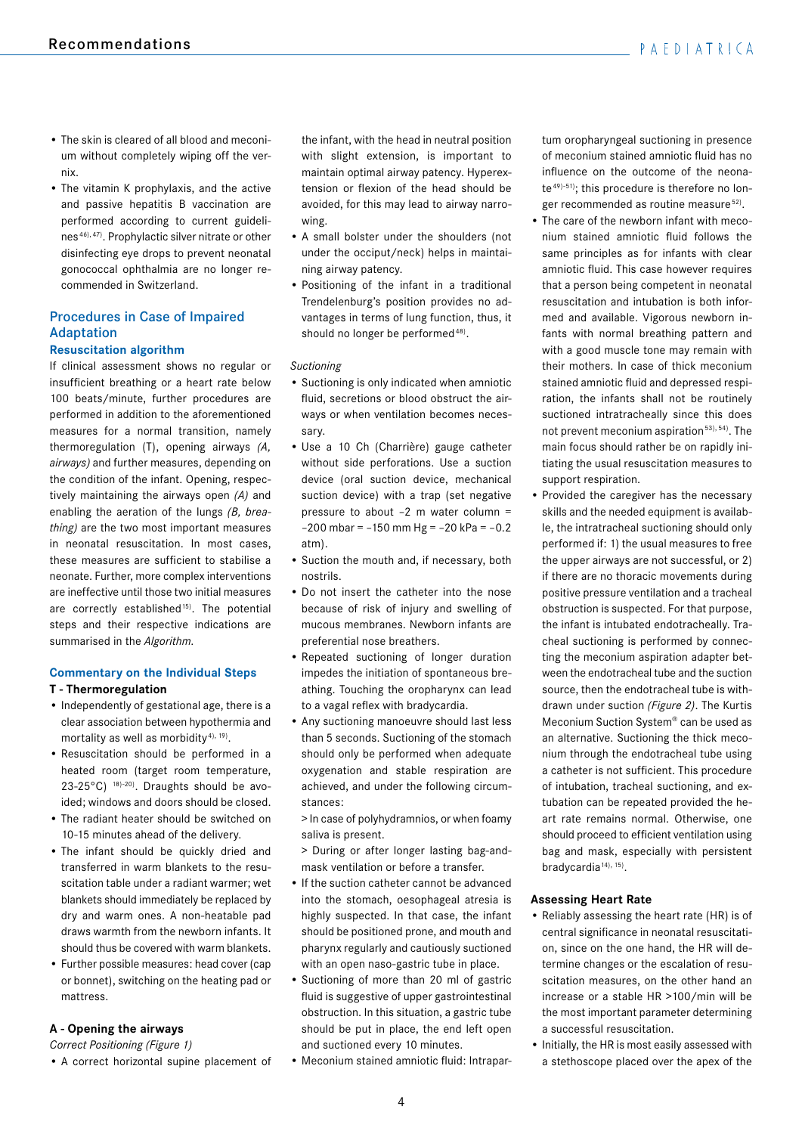- The skin is cleared of all blood and meconium without completely wiping off the vernix.
- The vitamin K prophylaxis, and the active and passive hepatitis B vaccination are performed according to current guidelines 46), 47). Prophylactic silver nitrate or other disinfecting eye drops to prevent neonatal gonococcal ophthalmia are no longer recommended in Switzerland.

# Procedures in Case of Impaired Adaptation

# **Resuscitation algorithm**

If clinical assessment shows no regular or insufficient breathing or a heart rate below 100 beats/minute, further procedures are performed in addition to the aforementioned measures for a normal transition, namely thermoregulation (T), opening airways *(A, airways)* and further measures, depending on the condition of the infant. Opening, respectively maintaining the airways open *(A)* and enabling the aeration of the lungs *(B, breathing)* are the two most important measures in neonatal resuscitation. In most cases, these measures are sufficient to stabilise a neonate. Further, more complex interventions are ineffective until those two initial measures are correctly established<sup>15)</sup>. The potential steps and their respective indications are summarised in the *Algorithm*.

# **Commentary on the Individual Steps**

# **T - Thermoregulation**

- Independently of gestational age, there is a clear association between hypothermia and mortality as well as morbidity<sup>4), 19</sup>).
- Resuscitation should be performed in a heated room (target room temperature, 23-25°C) 18)-20). Draughts should be avoided; windows and doors should be closed.
- The radiant heater should be switched on 10-15 minutes ahead of the delivery.
- The infant should be quickly dried and transferred in warm blankets to the resuscitation table under a radiant warmer; wet blankets should immediately be replaced by dry and warm ones. A non-heatable pad draws warmth from the newborn infants. It should thus be covered with warm blankets.
- Further possible measures: head cover (cap or bonnet), switching on the heating pad or mattress.

# **A - Opening the airways**

*Correct Positioning (Figure 1)*

• A correct horizontal supine placement of

the infant, with the head in neutral position with slight extension, is important to maintain optimal airway patency. Hyperextension or flexion of the head should be avoided, for this may lead to airway narrowing.

- A small bolster under the shoulders (not under the occiput/neck) helps in maintaining airway patency.
- Positioning of the infant in a traditional Trendelenburg's position provides no advantages in terms of lung function, thus, it should no longer be performed<sup>48)</sup>.

# *Suctioning*

- Suctioning is only indicated when amniotic fluid, secretions or blood obstruct the airways or when ventilation becomes necessary.
- Use a 10 Ch (Charrière) gauge catheter without side perforations. Use a suction device (oral suction device, mechanical suction device) with a trap (set negative pressure to about –2 m water column =  $-200$  mbar =  $-150$  mm Hg =  $-20$  kPa =  $-0.2$ atm).
- Suction the mouth and, if necessary, both nostrils.
- Do not insert the catheter into the nose because of risk of injury and swelling of mucous membranes. Newborn infants are preferential nose breathers.
- Repeated suctioning of longer duration impedes the initiation of spontaneous breathing. Touching the oropharynx can lead to a vagal reflex with bradycardia.
- Any suctioning manoeuvre should last less than 5 seconds. Suctioning of the stomach should only be performed when adequate oxygenation and stable respiration are achieved, and under the following circumstances:

> In case of polyhydramnios, or when foamy saliva is present.

> During or after longer lasting bag-andmask ventilation or before a transfer.

- If the suction catheter cannot be advanced into the stomach, oesophageal atresia is highly suspected. In that case, the infant should be positioned prone, and mouth and pharynx regularly and cautiously suctioned with an open naso-gastric tube in place.
- Suctioning of more than 20 ml of gastric fluid is suggestive of upper gastrointestinal obstruction. In this situation, a gastric tube should be put in place, the end left open and suctioned every 10 minutes.
- Meconium stained amniotic fluid: Intrapar-

tum oropharyngeal suctioning in presence of meconium stained amniotic fluid has no influence on the outcome of the neonate 49)-51); this procedure is therefore no longer recommended as routine measure 52).

- The care of the newborn infant with meconium stained amniotic fluid follows the same principles as for infants with clear amniotic fluid. This case however requires that a person being competent in neonatal resuscitation and intubation is both informed and available. Vigorous newborn infants with normal breathing pattern and with a good muscle tone may remain with their mothers. In case of thick meconium stained amniotic fluid and depressed respiration, the infants shall not be routinely suctioned intratracheally since this does not prevent meconium aspiration 53), 54). The main focus should rather be on rapidly initiating the usual resuscitation measures to support respiration.
- Provided the caregiver has the necessary skills and the needed equipment is available, the intratracheal suctioning should only performed if: 1) the usual measures to free the upper airways are not successful, or 2) if there are no thoracic movements during positive pressure ventilation and a tracheal obstruction is suspected. For that purpose, the infant is intubated endotracheally. Tracheal suctioning is performed by connecting the meconium aspiration adapter between the endotracheal tube and the suction source, then the endotracheal tube is withdrawn under suction *(Figure 2)*. The Kurtis Meconium Suction System® can be used as an alternative. Suctioning the thick meconium through the endotracheal tube using a catheter is not sufficient. This procedure of intubation, tracheal suctioning, and extubation can be repeated provided the heart rate remains normal. Otherwise, one should proceed to efficient ventilation using bag and mask, especially with persistent bradycardia<sup>14), 15)</sup>.

## **Assessing Heart Rate**

- Reliably assessing the heart rate (HR) is of central significance in neonatal resuscitation, since on the one hand, the HR will determine changes or the escalation of resuscitation measures, on the other hand an increase or a stable HR >100/min will be the most important parameter determining a successful resuscitation.
- Initially, the HR is most easily assessed with a stethoscope placed over the apex of the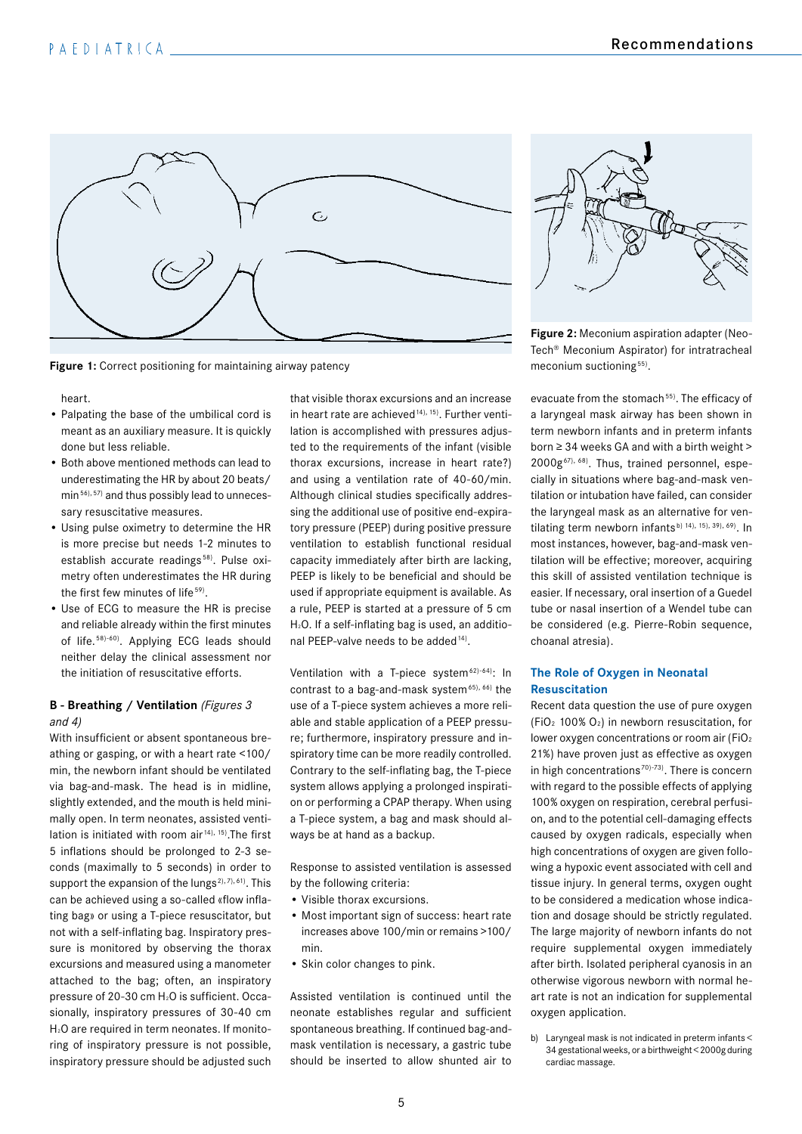

**Figure 1:** Correct positioning for maintaining airway patency

heart.

- Palpating the base of the umbilical cord is meant as an auxiliary measure. It is quickly done but less reliable.
- Both above mentioned methods can lead to underestimating the HR by about 20 beats/ min 56), 57) and thus possibly lead to unnecessary resuscitative measures.
- Using pulse oximetry to determine the HR is more precise but needs 1-2 minutes to establish accurate readings<sup>58)</sup>. Pulse oximetry often underestimates the HR during the first few minutes of life<sup>59)</sup>.
- Use of ECG to measure the HR is precise and reliable already within the first minutes of life. 58)-60). Applying ECG leads should neither delay the clinical assessment nor the initiation of resuscitative efforts.

## **B - Breathing / Ventilation** *(Figures 3 and 4)*

With insufficient or absent spontaneous breathing or gasping, or with a heart rate <100/ min, the newborn infant should be ventilated via bag-and-mask. The head is in midline, slightly extended, and the mouth is held minimally open. In term neonates, assisted ventilation is initiated with room air<sup>14), 15</sup>). The first 5 inflations should be prolonged to 2-3 seconds (maximally to 5 seconds) in order to support the expansion of the lungs<sup>2), 7), 61)</sup>. This can be achieved using a so-called «flow inflating bag» or using a T-piece resuscitator, but not with a self-inflating bag. Inspiratory pressure is monitored by observing the thorax excursions and measured using a manometer attached to the bag; often, an inspiratory pressure of 20-30 cm H<sub>2</sub>O is sufficient. Occasionally, inspiratory pressures of 30-40 cm H2O are required in term neonates. If monitoring of inspiratory pressure is not possible, inspiratory pressure should be adjusted such that visible thorax excursions and an increase in heart rate are achieved<sup>14), 15)</sup>. Further ventilation is accomplished with pressures adjusted to the requirements of the infant (visible thorax excursions, increase in heart rate?) and using a ventilation rate of 40-60/min. Although clinical studies specifically addressing the additional use of positive end-expiratory pressure (PEEP) during positive pressure ventilation to establish functional residual capacity immediately after birth are lacking, PEEP is likely to be beneficial and should be used if appropriate equipment is available. As a rule, PEEP is started at a pressure of 5 cm H2O. If a self-inflating bag is used, an additional PEEP-valve needs to be added<sup>14)</sup>.

Ventilation with a T-piece system<sup> $62)$ -64): In</sup> contrast to a bag-and-mask system $65$ ,  $66$ ) the use of a T-piece system achieves a more reliable and stable application of a PEEP pressure; furthermore, inspiratory pressure and inspiratory time can be more readily controlled. Contrary to the self-inflating bag, the T-piece system allows applying a prolonged inspiration or performing a CPAP therapy. When using a T-piece system, a bag and mask should always be at hand as a backup.

Response to assisted ventilation is assessed by the following criteria:

- Visible thorax excursions.
- Most important sign of success: heart rate increases above 100/min or remains >100/ min.
- Skin color changes to pink.

Assisted ventilation is continued until the neonate establishes regular and sufficient spontaneous breathing. If continued bag-andmask ventilation is necessary, a gastric tube should be inserted to allow shunted air to



**Figure 2:** Meconium aspiration adapter (Neo-Tech® Meconium Aspirator) for intratracheal meconium suctioning<sup>55)</sup>.

evacuate from the stomach<sup>55)</sup>. The efficacy of a laryngeal mask airway has been shown in term newborn infants and in preterm infants born ≥ 34 weeks GA and with a birth weight > 2000g67), 68). Thus, trained personnel, especially in situations where bag-and-mask ventilation or intubation have failed, can consider the laryngeal mask as an alternative for ventilating term newborn infants<sup>b) 14), 15), 39), 69)</sup>. In most instances, however, bag-and-mask ventilation will be effective; moreover, acquiring this skill of assisted ventilation technique is easier. If necessary, oral insertion of a Guedel tube or nasal insertion of a Wendel tube can be considered (e.g. Pierre-Robin sequence, choanal atresia).

# **The Role of Oxygen in Neonatal Resuscitation**

Recent data question the use of pure oxygen (FiO2 100% O2) in newborn resuscitation, for lower oxygen concentrations or room air (FiO2 21%) have proven just as effective as oxygen in high concentrations<sup> $70$ </sup> $-73$ ). There is concern with regard to the possible effects of applying 100% oxygen on respiration, cerebral perfusion, and to the potential cell-damaging effects caused by oxygen radicals, especially when high concentrations of oxygen are given following a hypoxic event associated with cell and tissue injury. In general terms, oxygen ought to be considered a medication whose indication and dosage should be strictly regulated. The large majority of newborn infants do not require supplemental oxygen immediately after birth. Isolated peripheral cyanosis in an otherwise vigorous newborn with normal heart rate is not an indication for supplemental oxygen application.

b) Laryngeal mask is not indicated in preterm infants < 34 gestational weeks, or a birthweight < 2000g during cardiac massage.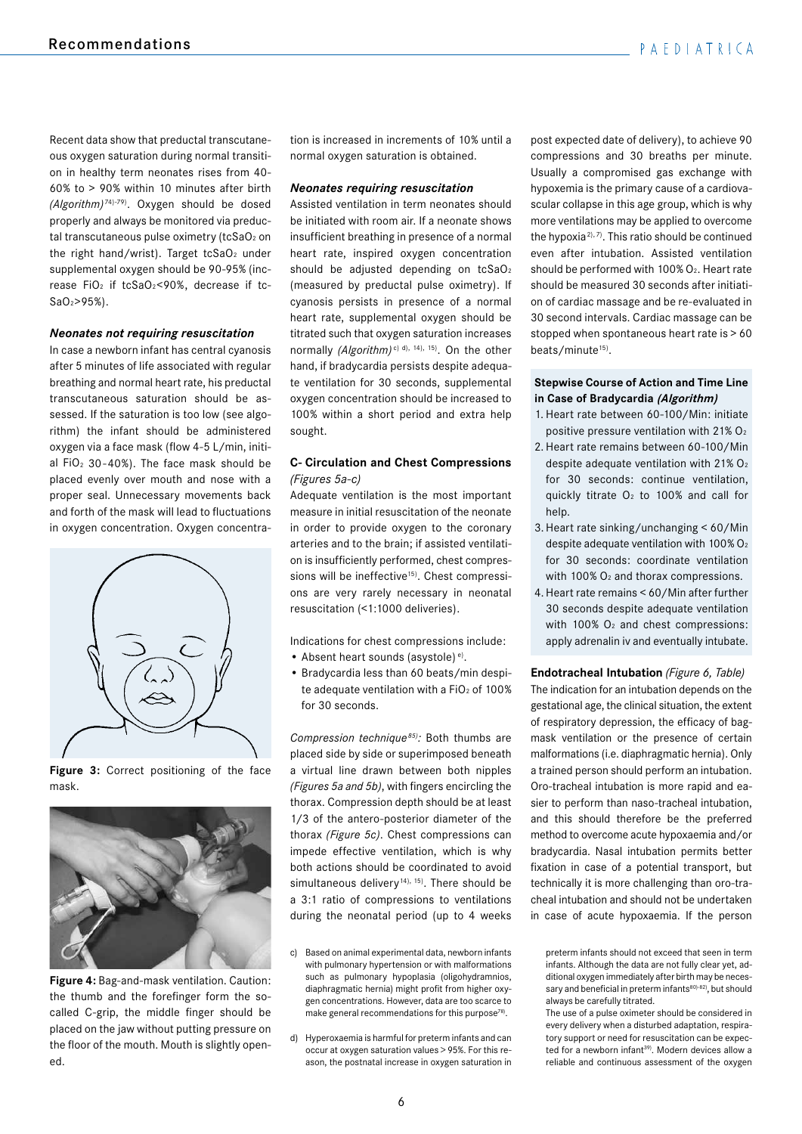Recent data show that preductal transcutaneous oxygen saturation during normal transition in healthy term neonates rises from 40- 60% to > 90% within 10 minutes after birth *(Algorithm)* 74)-79). Oxygen should be dosed properly and always be monitored via preductal transcutaneous pulse oximetry (tcSaO2 on the right hand/wrist). Target  $tcSaO<sub>2</sub>$  under supplemental oxygen should be 90-95% (increase FiO<sub>2</sub> if tcSaO<sub>2</sub><90%, decrease if tc-SaO2>95%).

## *Neonates not requiring resuscitation*

In case a newborn infant has central cyanosis after 5 minutes of life associated with regular breathing and normal heart rate, his preductal transcutaneous saturation should be assessed. If the saturation is too low (see algorithm) the infant should be administered oxygen via a face mask (flow 4-5 L/min, initial FiO $2$  30-40%). The face mask should be placed evenly over mouth and nose with a proper seal. Unnecessary movements back and forth of the mask will lead to fluctuations in oxygen concentration. Oxygen concentra-



**Figure 3:** Correct positioning of the face mask.



**Figure 4:** Bag-and-mask ventilation. Caution: the thumb and the forefinger form the socalled C-grip, the middle finger should be placed on the jaw without putting pressure on the floor of the mouth. Mouth is slightly opened.

tion is increased in increments of 10% until a normal oxygen saturation is obtained.

#### *Neonates requiring resuscitation*

Assisted ventilation in term neonates should be initiated with room air. If a neonate shows insufficient breathing in presence of a normal heart rate, inspired oxygen concentration should be adjusted depending on tcSaO<sub>2</sub> (measured by preductal pulse oximetry). If cyanosis persists in presence of a normal heart rate, supplemental oxygen should be titrated such that oxygen saturation increases normally *(Algorithm)*<sup>c) d), 14), 15). On the other</sup> hand, if bradycardia persists despite adequate ventilation for 30 seconds, supplemental oxygen concentration should be increased to 100% within a short period and extra help sought.

## **C- Circulation and Chest Compressions**  *(Figures 5a-c)*

Adequate ventilation is the most important measure in initial resuscitation of the neonate in order to provide oxygen to the coronary arteries and to the brain; if assisted ventilation is insufficiently performed, chest compressions will be ineffective<sup>15)</sup>. Chest compressions are very rarely necessary in neonatal resuscitation (<1:1000 deliveries).

Indications for chest compressions include:

- Absent heart sounds (asystole)<sup>e)</sup>.
- Bradycardia less than 60 beats/min despite adequate ventilation with a  $FiO<sub>2</sub>$  of 100% for 30 seconds.

*Compression technique 85):* Both thumbs are placed side by side or superimposed beneath a virtual line drawn between both nipples *(Figures 5a and 5b)*, with fingers encircling the thorax. Compression depth should be at least 1/3 of the antero-posterior diameter of the thorax *(Figure 5c)*. Chest compressions can impede effective ventilation, which is why both actions should be coordinated to avoid simultaneous delivery<sup>14), 15</sup>). There should be a 3:1 ratio of compressions to ventilations during the neonatal period (up to 4 weeks

- c) Based on animal experimental data, newborn infants with pulmonary hypertension or with malformations such as pulmonary hypoplasia (oligohydramnios, diaphragmatic hernia) might profit from higher oxygen concentrations. However, data are too scarce to make general recommendations for this purpose<sup>78)</sup>.
- d) Hyperoxaemia is harmful for preterm infants and can occur at oxygen saturation values > 95%. For this reason, the postnatal increase in oxygen saturation in

post expected date of delivery), to achieve 90 compressions and 30 breaths per minute. Usually a compromised gas exchange with hypoxemia is the primary cause of a cardiovascular collapse in this age group, which is why more ventilations may be applied to overcome the hypoxia<sup>2), 7</sup>. This ratio should be continued even after intubation. Assisted ventilation should be performed with 100% O<sub>2</sub>. Heart rate should be measured 30 seconds after initiation of cardiac massage and be re-evaluated in 30 second intervals. Cardiac massage can be stopped when spontaneous heart rate is > 60 beats/minute<sup>15)</sup>.

# **Stepwise Course of Action and Time Line in Case of Bradycardia (Algorithm)**

- 1. Heart rate between 60-100/Min: initiate positive pressure ventilation with 21% O2
- 2. Heart rate remains between 60-100/Min despite adequate ventilation with 21% O<sub>2</sub> for 30 seconds: continue ventilation, quickly titrate  $O<sub>2</sub>$  to 100% and call for help.
- 3.Heart rate sinking/unchanging < 60/Min despite adequate ventilation with 100% O2 for 30 seconds: coordinate ventilation with 100% O<sub>2</sub> and thorax compressions.
- 4.Heart rate remains < 60/Min after further 30 seconds despite adequate ventilation with 100%  $O<sub>2</sub>$  and chest compressions: apply adrenalin iv and eventually intubate.

**Endotracheal Intubation** *(Figure 6, Table)* The indication for an intubation depends on the gestational age, the clinical situation, the extent of respiratory depression, the efficacy of bagmask ventilation or the presence of certain malformations (i.e. diaphragmatic hernia). Only a trained person should perform an intubation. Oro-tracheal intubation is more rapid and easier to perform than naso-tracheal intubation, and this should therefore be the preferred method to overcome acute hypoxaemia and/or bradycardia. Nasal intubation permits better fixation in case of a potential transport, but technically it is more challenging than oro-tracheal intubation and should not be undertaken in case of acute hypoxaemia. If the person

preterm infants should not exceed that seen in term infants. Although the data are not fully clear yet, additional oxygen immediately after birth may be necessary and beneficial in preterm infants<sup>80)-82)</sup>, but should always be carefully titrated.

The use of a pulse oximeter should be considered in every delivery when a disturbed adaptation, respiratory support or need for resuscitation can be expected for a newborn infant<sup>39)</sup>. Modern devices allow a reliable and continuous assessment of the oxygen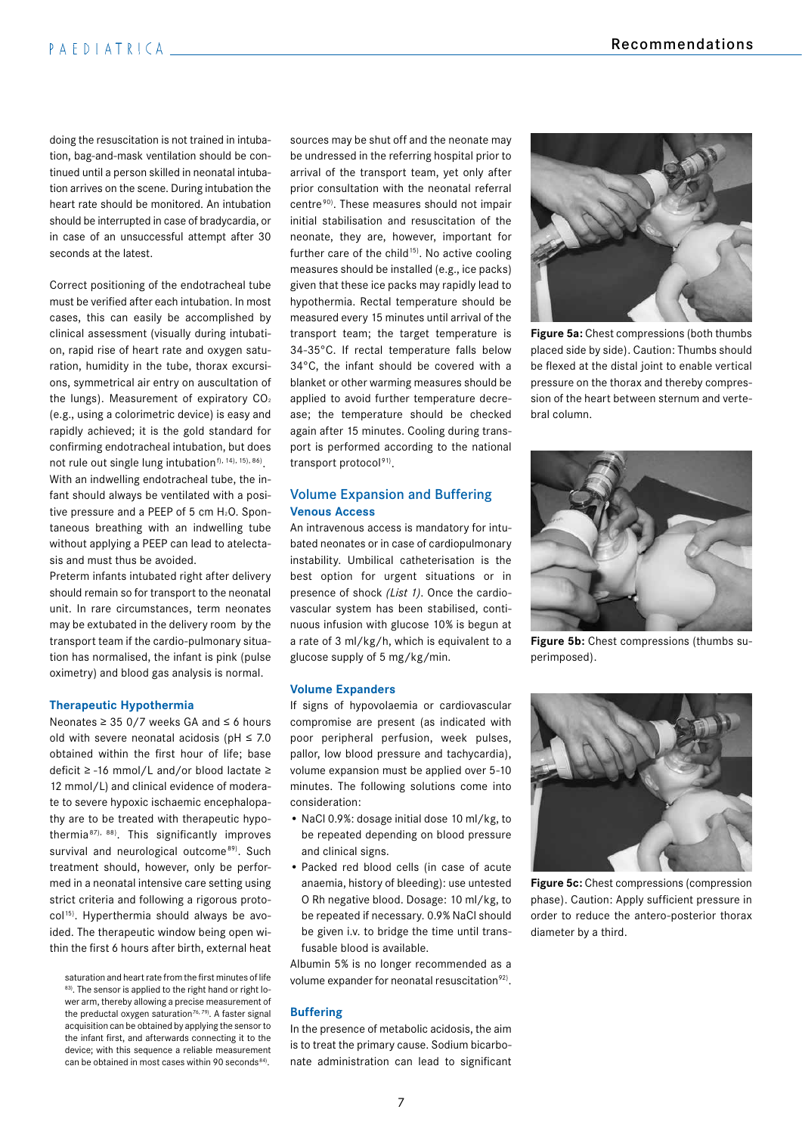# PAEDIATRICA

doing the resuscitation is not trained in intubation, bag-and-mask ventilation should be continued until a person skilled in neonatal intubation arrives on the scene. During intubation the heart rate should be monitored. An intubation should be interrupted in case of bradycardia, or in case of an unsuccessful attempt after 30 seconds at the latest.

Correct positioning of the endotracheal tube must be verified after each intubation. In most cases, this can easily be accomplished by clinical assessment (visually during intubation, rapid rise of heart rate and oxygen saturation, humidity in the tube, thorax excursions, symmetrical air entry on auscultation of the lungs). Measurement of expiratory CO<sub>2</sub> (e.g., using a colorimetric device) is easy and rapidly achieved; it is the gold standard for confirming endotracheal intubation, but does not rule out single lung intubation $f$ ),  $14$ ),  $15$ ),  $86$ ). With an indwelling endotracheal tube, the infant should always be ventilated with a positive pressure and a PEEP of 5 cm H<sub>2</sub>O. Spontaneous breathing with an indwelling tube without applying a PEEP can lead to atelectasis and must thus be avoided.

Preterm infants intubated right after delivery should remain so for transport to the neonatal unit. In rare circumstances, term neonates may be extubated in the delivery room by the transport team if the cardio-pulmonary situation has normalised, the infant is pink (pulse oximetry) and blood gas analysis is normal.

#### **Therapeutic Hypothermia**

Neonates ≥ 35 0/7 weeks GA and ≤ 6 hours old with severe neonatal acidosis ( $pH \le 7.0$ obtained within the first hour of life; base deficit ≥ -16 mmol/L and/or blood lactate ≥ 12 mmol/L) and clinical evidence of moderate to severe hypoxic ischaemic encephalopathy are to be treated with therapeutic hypothermia 87), 88). This significantly improves survival and neurological outcome<sup>89)</sup>. Such treatment should, however, only be performed in a neonatal intensive care setting using strict criteria and following a rigorous protocol<sup>15)</sup>. Hyperthermia should always be avoided. The therapeutic window being open within the first 6 hours after birth, external heat

sources may be shut off and the neonate may be undressed in the referring hospital prior to arrival of the transport team, yet only after prior consultation with the neonatal referral centre90). These measures should not impair initial stabilisation and resuscitation of the neonate, they are, however, important for further care of the child $15$ . No active cooling measures should be installed (e.g., ice packs) given that these ice packs may rapidly lead to hypothermia. Rectal temperature should be measured every 15 minutes until arrival of the transport team; the target temperature is 34-35°C. If rectal temperature falls below 34°C, the infant should be covered with a blanket or other warming measures should be applied to avoid further temperature decrease; the temperature should be checked again after 15 minutes. Cooling during transport is performed according to the national transport protocol<sup>91)</sup>.

# Volume Expansion and Buffering **Venous Access**

An intravenous access is mandatory for intubated neonates or in case of cardiopulmonary instability. Umbilical catheterisation is the best option for urgent situations or in presence of shock *(List 1)*. Once the cardiovascular system has been stabilised, continuous infusion with glucose 10% is begun at a rate of 3 ml/kg/h, which is equivalent to a glucose supply of 5 mg/kg/min.

#### **Volume Expanders**

If signs of hypovolaemia or cardiovascular compromise are present (as indicated with poor peripheral perfusion, week pulses, pallor, low blood pressure and tachycardia), volume expansion must be applied over 5-10 minutes. The following solutions come into consideration:

- NaCl 0.9%: dosage initial dose 10 ml/kg, to be repeated depending on blood pressure and clinical signs.
- Packed red blood cells (in case of acute anaemia, history of bleeding): use untested O Rh negative blood. Dosage: 10 ml/kg, to be repeated if necessary. 0.9% NaCl should be given i.v. to bridge the time until transfusable blood is available.

Albumin 5% is no longer recommended as a volume expander for neonatal resuscitation<sup>92)</sup>.

#### **Buffering**

In the presence of metabolic acidosis, the aim is to treat the primary cause. Sodium bicarbonate administration can lead to significant



**Figure 5a:** Chest compressions (both thumbs placed side by side). Caution: Thumbs should be flexed at the distal joint to enable vertical pressure on the thorax and thereby compression of the heart between sternum and vertebral column.



**Figure 5b:** Chest compressions (thumbs superimposed).



**Figure 5c:** Chest compressions (compression phase). Caution: Apply sufficient pressure in order to reduce the antero-posterior thorax diameter by a third.

saturation and heart rate from the first minutes of life 83). The sensor is applied to the right hand or right lower arm, thereby allowing a precise measurement of the preductal oxygen saturation<sup>76, 79</sup>). A faster signal acquisition can be obtained by applying the sensor to the infant first, and afterwards connecting it to the device; with this sequence a reliable measurement can be obtained in most cases within 90 seconds<sup>84)</sup>.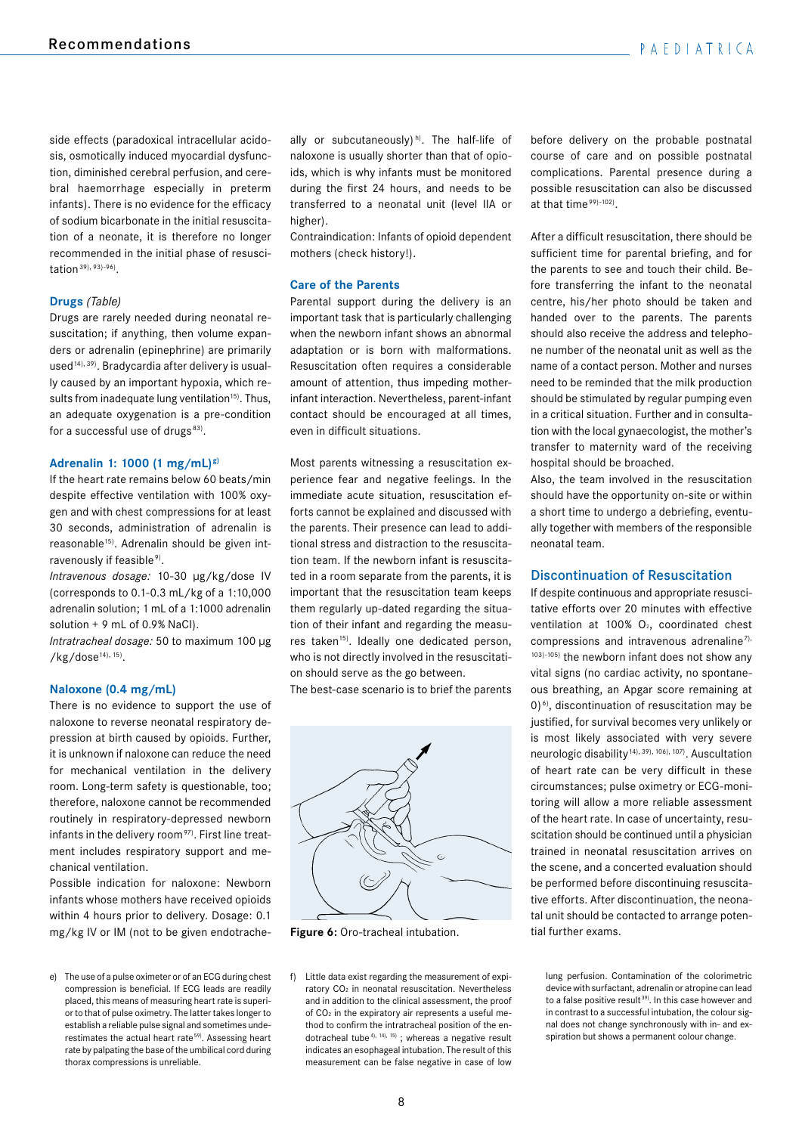side effects (paradoxical intracellular acidosis, osmotically induced myocardial dysfunction, diminished cerebral perfusion, and cerebral haemorrhage especially in preterm infants). There is no evidence for the efficacy of sodium bicarbonate in the initial resuscitation of a neonate, it is therefore no longer recommended in the initial phase of resuscitation  $39$ ,  $93$ )- $96$ ).

# **Drugs** *(Table)*

Drugs are rarely needed during neonatal resuscitation; if anything, then volume expanders or adrenalin (epinephrine) are primarily used<sup>14), 39)</sup>. Bradycardia after delivery is usually caused by an important hypoxia, which results from inadequate lung ventilation<sup>15)</sup>. Thus, an adequate oxygenation is a pre-condition for a successful use of drugs $^{83)}$ .

#### **Adrenalin 1: 1000 (1 mg/mL)g)**

If the heart rate remains below 60 beats/min despite effective ventilation with 100% oxygen and with chest compressions for at least 30 seconds, administration of adrenalin is reasonable<sup>15)</sup>. Adrenalin should be given intravenously if feasible<sup>9)</sup>.

*Intravenous dosage:* 10-30 µg/kg/dose IV (corresponds to 0.1-0.3 mL/kg of a 1:10,000 adrenalin solution; 1 mL of a 1:1000 adrenalin solution + 9 mL of 0.9% NaCl).

*Intratracheal dosage:* 50 to maximum 100 µg /kg/dose14), 15).

#### **Naloxone (0.4 mg/mL)**

There is no evidence to support the use of naloxone to reverse neonatal respiratory depression at birth caused by opioids. Further, it is unknown if naloxone can reduce the need for mechanical ventilation in the delivery room. Long-term safety is questionable, too; therefore, naloxone cannot be recommended routinely in respiratory-depressed newborn infants in the delivery room $97$ ). First line treatment includes respiratory support and mechanical ventilation.

Possible indication for naloxone: Newborn infants whose mothers have received opioids within 4 hours prior to delivery. Dosage: 0.1 mg/kg IV or IM (not to be given endotrache-

e) The use of a pulse oximeter or of an ECG during chest compression is beneficial. If ECG leads are readily placed, this means of measuring heart rate is superior to that of pulse oximetry. The latter takes longer to establish a reliable pulse signal and sometimes underestimates the actual heart rate<sup>59</sup>. Assessing heart rate by palpating the base of the umbilical cord during thorax compressions is unreliable.

ally or subcutaneously)<sup>h)</sup>. The half-life of naloxone is usually shorter than that of opioids, which is why infants must be monitored during the first 24 hours, and needs to be transferred to a neonatal unit (level IIA or higher).

Contraindication: Infants of opioid dependent mothers (check history!).

#### **Care of the Parents**

Parental support during the delivery is an important task that is particularly challenging when the newborn infant shows an abnormal adaptation or is born with malformations. Resuscitation often requires a considerable amount of attention, thus impeding motherinfant interaction. Nevertheless, parent-infant contact should be encouraged at all times, even in difficult situations.

Most parents witnessing a resuscitation experience fear and negative feelings. In the immediate acute situation, resuscitation efforts cannot be explained and discussed with the parents. Their presence can lead to additional stress and distraction to the resuscitation team. If the newborn infant is resuscitated in a room separate from the parents, it is important that the resuscitation team keeps them regularly up-dated regarding the situation of their infant and regarding the measures taken<sup>15)</sup>. Ideally one dedicated person, who is not directly involved in the resuscitation should serve as the go between.

The best-case scenario is to brief the parents



**Figure 6:** Oro-tracheal intubation.

f) Little data exist regarding the measurement of expiratory CO<sub>2</sub> in neonatal resuscitation. Nevertheless and in addition to the clinical assessment, the proof of CO2 in the expiratory air represents a useful method to confirm the intratracheal position of the endotracheal tube<sup>4), 14), 15)</sup>; whereas a negative result indicates an esophageal intubation. The result of this measurement can be false negative in case of low

before delivery on the probable postnatal course of care and on possible postnatal complications. Parental presence during a possible resuscitation can also be discussed at that time $99) - 102$ .

After a difficult resuscitation, there should be sufficient time for parental briefing, and for the parents to see and touch their child. Before transferring the infant to the neonatal centre, his/her photo should be taken and handed over to the parents. The parents should also receive the address and telephone number of the neonatal unit as well as the name of a contact person. Mother and nurses need to be reminded that the milk production should be stimulated by regular pumping even in a critical situation. Further and in consultation with the local gynaecologist, the mother's transfer to maternity ward of the receiving hospital should be broached.

Also, the team involved in the resuscitation should have the opportunity on-site or within a short time to undergo a debriefing, eventually together with members of the responsible neonatal team.

#### Discontinuation of Resuscitation

If despite continuous and appropriate resuscitative efforts over 20 minutes with effective ventilation at 100%  $O<sub>2</sub>$ , coordinated chest compressions and intravenous adrenaline<sup>7),</sup> 103)-105) the newborn infant does not show any vital signs (no cardiac activity, no spontaneous breathing, an Apgar score remaining at 0) 6), discontinuation of resuscitation may be justified, for survival becomes very unlikely or is most likely associated with very severe neurologic disability<sup>14), 39), 106), 107)</sup>. Auscultation of heart rate can be very difficult in these circumstances; pulse oximetry or ECG-monitoring will allow a more reliable assessment of the heart rate. In case of uncertainty, resuscitation should be continued until a physician trained in neonatal resuscitation arrives on the scene, and a concerted evaluation should be performed before discontinuing resuscitative efforts. After discontinuation, the neonatal unit should be contacted to arrange potential further exams.

lung perfusion. Contamination of the colorimetric device with surfactant, adrenalin or atropine can lead to a false positive result<sup>39)</sup>. In this case however and in contrast to a successful intubation, the colour signal does not change synchronously with in- and exspiration but shows a permanent colour change.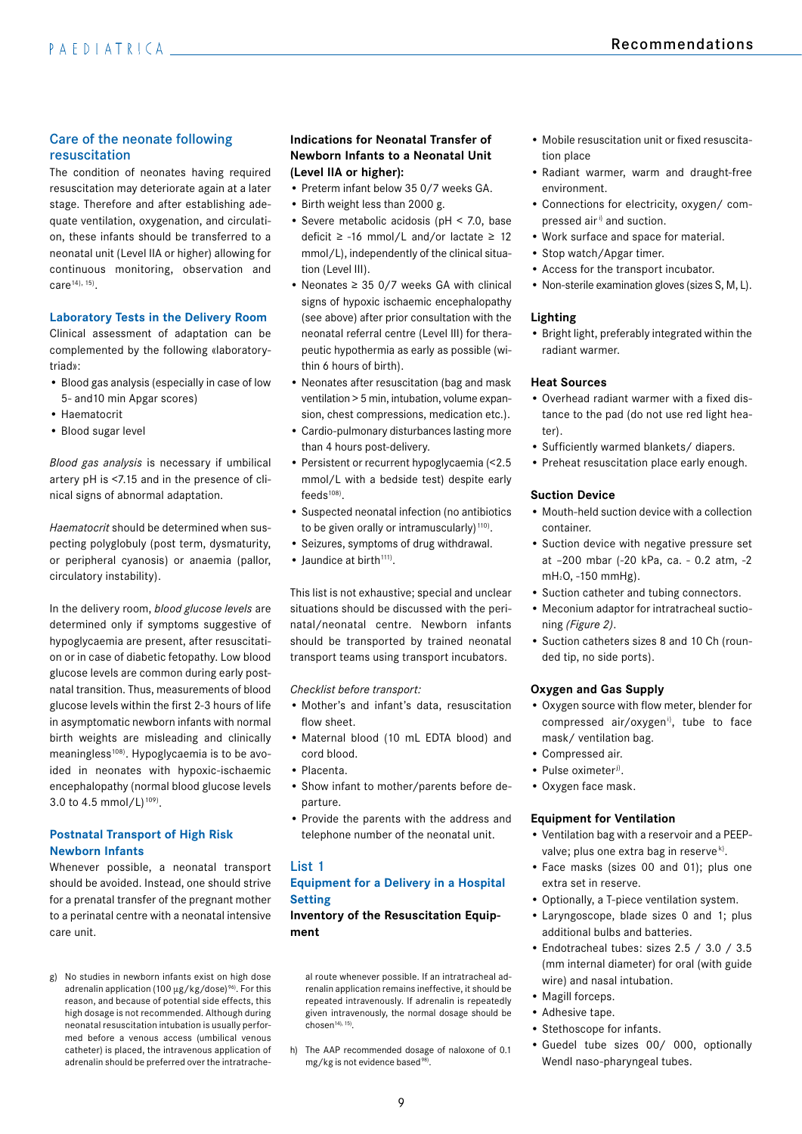# Care of the neonate following resuscitation

The condition of neonates having required resuscitation may deteriorate again at a later stage. Therefore and after establishing adequate ventilation, oxygenation, and circulation, these infants should be transferred to a neonatal unit (Level IIA or higher) allowing for continuous monitoring, observation and care<sup>14), 15</sup>).

#### **Laboratory Tests in the Delivery Room**

Clinical assessment of adaptation can be complemented by the following «laboratorytriad»:

- Blood gas analysis (especially in case of low 5- and10 min Apgar scores)
- Haematocrit
- Blood sugar level

*Blood gas analysis* is necessary if umbilical artery pH is <7.15 and in the presence of clinical signs of abnormal adaptation.

*Haematocrit* should be determined when suspecting polyglobuly (post term, dysmaturity, or peripheral cyanosis) or anaemia (pallor, circulatory instability).

In the delivery room, *blood glucose levels* are determined only if symptoms suggestive of hypoglycaemia are present, after resuscitation or in case of diabetic fetopathy. Low blood glucose levels are common during early postnatal transition. Thus, measurements of blood glucose levels within the first 2-3 hours of life in asymptomatic newborn infants with normal birth weights are misleading and clinically meaningless<sup>108)</sup>. Hypoglycaemia is to be avoided in neonates with hypoxic-ischaemic encephalopathy (normal blood glucose levels 3.0 to 4.5 mmol/L $)$ <sup>109</sup>).

# **Postnatal Transport of High Risk Newborn Infants**

Whenever possible, a neonatal transport should be avoided. Instead, one should strive for a prenatal transfer of the pregnant mother to a perinatal centre with a neonatal intensive care unit.

g) No studies in newborn infants exist on high dose adrenalin application (100  $\mu$ g/kg/dose)<sup>96)</sup>. For this reason, and because of potential side effects, this high dosage is not recommended. Although during neonatal resuscitation intubation is usually performed before a venous access (umbilical venous catheter) is placed, the intravenous application of adrenalin should be preferred over the intratrache-

# **Indications for Neonatal Transfer of Newborn Infants to a Neonatal Unit (Level IIA or higher):**

- Preterm infant below 35 0/7 weeks GA.
- Birth weight less than 2000 g.
- Severe metabolic acidosis (pH < 7.0, base deficit ≥ -16 mmol/L and/or lactate ≥ 12 mmol/L), independently of the clinical situation (Level III).
- Neonates ≥ 35 0/7 weeks GA with clinical signs of hypoxic ischaemic encephalopathy (see above) after prior consultation with the neonatal referral centre (Level III) for therapeutic hypothermia as early as possible (within 6 hours of birth).
- Neonates after resuscitation (bag and mask ventilation > 5 min, intubation, volume expansion, chest compressions, medication etc.).
- Cardio-pulmonary disturbances lasting more than 4 hours post-delivery.
- Persistent or recurrent hypoglycaemia (<2.5 mmol/L with a bedside test) despite early  $f$ eeds $108$ ).
- Suspected neonatal infection (no antibiotics to be given orally or intramuscularly) $110$ .
- Seizures, symptoms of drug withdrawal.
- $\bullet$  laundice at birth<sup>111)</sup>.

This list is not exhaustive; special and unclear situations should be discussed with the perinatal/neonatal centre. Newborn infants should be transported by trained neonatal transport teams using transport incubators.

*Checklist before transport:*

- Mother's and infant's data, resuscitation flow sheet.
- Maternal blood (10 mL EDTA blood) and cord blood.
- Placenta.
- Show infant to mother/parents before departure.
- Provide the parents with the address and telephone number of the neonatal unit.

# List 1

# **Equipment for a Delivery in a Hospital Setting**

**Inventory of the Resuscitation Equipment**

al route whenever possible. If an intratracheal adrenalin application remains ineffective, it should be repeated intravenously. If adrenalin is repeatedly given intravenously, the normal dosage should be  $chosen<sup>14</sup>, 15$ .

h) The AAP recommended dosage of naloxone of 0.1 mg/kg is not evidence based<sup>98)</sup>.

- Mobile resuscitation unit or fixed resuscitation place
- Radiant warmer, warm and draught-free environment.
- Connections for electricity, oxygen/ compressed air<sup>i)</sup> and suction.
- Work surface and space for material.
- Stop watch/Apgar timer.
- Access for the transport incubator.
- Non-sterile examination gloves (sizes S, M, L).

# **Lighting**

• Bright light, preferably integrated within the radiant warmer.

#### **Heat Sources**

- Overhead radiant warmer with a fixed distance to the pad (do not use red light heater).
- Sufficiently warmed blankets/ diapers.
- Preheat resuscitation place early enough.

#### **Suction Device**

- Mouth-held suction device with a collection container.
- Suction device with negative pressure set at –200 mbar (-20 kPa, ca. - 0.2 atm, -2 mH2O, -150 mmHg).
- Suction catheter and tubing connectors.
- Meconium adaptor for intratracheal suctioning *(Figure 2)*.
- Suction catheters sizes 8 and 10 Ch (rounded tip, no side ports).

#### **Oxygen and Gas Supply**

- Oxygen source with flow meter, blender for compressed air/oxygen<sup>i)</sup>, tube to face mask/ ventilation bag.
- Compressed air.
- Pulse oximeter<sup>j)</sup>.
- Oxygen face mask.

#### **Equipment for Ventilation**

- Ventilation bag with a reservoir and a PEEPvalve; plus one extra bag in reserve $k$ .
- Face masks (sizes 00 and 01); plus one extra set in reserve.
- Optionally, a T-piece ventilation system.
- Laryngoscope, blade sizes 0 and 1; plus additional bulbs and batteries.
- Endotracheal tubes: sizes 2.5 / 3.0 / 3.5 (mm internal diameter) for oral (with guide wire) and nasal intubation.
- Magill forceps.
- Adhesive tape.
- Stethoscope for infants.
- Guedel tube sizes 00/ 000, optionally Wendl naso-pharyngeal tubes.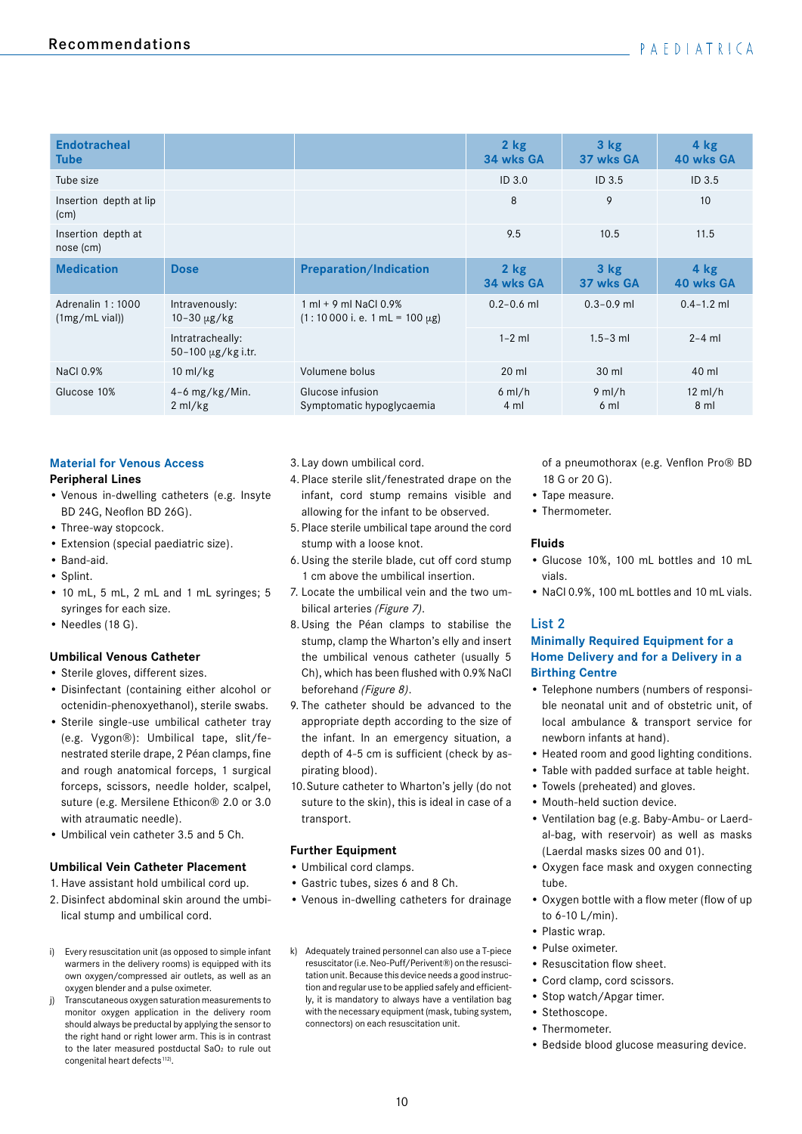| <b>Endotracheal</b><br><b>Tube</b>          |                                               |                                                                              | 2 kg<br>34 wks GA   | 3 <sub>kg</sub><br>37 wks GA | 4 kg<br>40 wks GA           |
|---------------------------------------------|-----------------------------------------------|------------------------------------------------------------------------------|---------------------|------------------------------|-----------------------------|
| Tube size                                   |                                               |                                                                              | ID <sub>3.0</sub>   | ID <sub>3.5</sub>            | ID <sub>3.5</sub>           |
| Insertion depth at lip<br>(c <sub>m</sub> ) |                                               |                                                                              | 8                   | 9                            | 10                          |
| Insertion depth at<br>nose (cm)             |                                               |                                                                              | 9.5                 | 10.5                         | 11.5                        |
| <b>Medication</b>                           | <b>Dose</b>                                   | <b>Preparation/Indication</b>                                                | $2$ kg<br>34 wks GA | 3 <sub>kg</sub><br>37 wks GA | $4$ kg<br>40 wks GA         |
| Adrenalin 1:1000<br>$(1mg/mL$ vial)         | Intravenously:<br>$10 - 30 \mu g/kg$          | $1 \text{ ml} + 9 \text{ ml}$ NaCl 0.9%<br>$(1:10000 i.e. 1 mL = 100 \mu g)$ | $0.2 - 0.6$ ml      | $0.3 - 0.9$ ml               | $0.4 - 1.2$ ml              |
|                                             | Intratracheally:<br>$50 - 100 \mu g/kg$ i.tr. |                                                                              | $1-2$ ml            | $1.5 - 3$ ml                 | $2-4$ ml                    |
| NaCl 0.9%                                   | $10 \text{ ml/kg}$                            | Volumene bolus                                                               | $20$ ml             | 30 ml                        | 40 ml                       |
| Glucose 10%                                 | $4-6$ mg/kg/Min.<br>$2 \text{ ml/kg}$         | Glucose infusion<br>Symptomatic hypoglycaemia                                | $6$ ml/h<br>4 ml    | $9$ ml/h<br>6 ml             | $12 \text{ ml/h}$<br>$8$ ml |

# **Material for Venous Access**

#### **Peripheral Lines**

- Venous in-dwelling catheters (e.g. Insyte BD 24G, Neoflon BD 26G).
- Three-way stopcock.
- Extension (special paediatric size).
- Band-aid.
- Splint.
- 10 mL, 5 mL, 2 mL and 1 mL syringes; 5 syringes for each size.
- Needles (18 G).

## **Umbilical Venous Catheter**

- Sterile gloves, different sizes.
- Disinfectant (containing either alcohol or octenidin-phenoxyethanol), sterile swabs.
- Sterile single-use umbilical catheter tray (e.g. Vygon®): Umbilical tape, slit/fenestrated sterile drape, 2 Péan clamps, fine and rough anatomical forceps, 1 surgical forceps, scissors, needle holder, scalpel, suture (e.g. Mersilene Ethicon® 2.0 or 3.0 with atraumatic needle).
- Umbilical vein catheter 3.5 and 5 Ch.

## **Umbilical Vein Catheter Placement**

- 1. Have assistant hold umbilical cord up.
- 2. Disinfect abdominal skin around the umbilical stump and umbilical cord.
- i) Every resuscitation unit (as opposed to simple infant warmers in the delivery rooms) is equipped with its own oxygen/compressed air outlets, as well as an oxygen blender and a pulse oximeter.
- Transcutaneous oxygen saturation measurements to monitor oxygen application in the delivery room should always be preductal by applying the sensor to the right hand or right lower arm. This is in contrast to the later measured postductal SaO<sub>2</sub> to rule out congenital heart defects<sup>112)</sup>.
- 3. Lay down umbilical cord.
- 4. Place sterile slit/fenestrated drape on the infant, cord stump remains visible and allowing for the infant to be observed.
- 5. Place sterile umbilical tape around the cord stump with a loose knot.
- 6. Using the sterile blade, cut off cord stump 1 cm above the umbilical insertion.
- 7. Locate the umbilical vein and the two umbilical arteries *(Figure 7)*.
- 8.Using the Péan clamps to stabilise the stump, clamp the Wharton's elly and insert the umbilical venous catheter (usually 5 Ch), which has been flushed with 0.9% NaCl beforehand *(Figure 8)*.
- 9. The catheter should be advanced to the appropriate depth according to the size of the infant. In an emergency situation, a depth of 4-5 cm is sufficient (check by aspirating blood).
- 10.Suture catheter to Wharton's jelly (do not suture to the skin), this is ideal in case of a transport.

## **Further Equipment**

- Umbilical cord clamps.
- Gastric tubes, sizes 6 and 8 Ch.
- Venous in-dwelling catheters for drainage
- k) Adequately trained personnel can also use a T-piece resuscitator (i.e. Neo-Puff/Perivent®) on the resuscitation unit. Because this device needs a good instruction and regular use to be applied safely and efficiently, it is mandatory to always have a ventilation bag with the necessary equipment (mask, tubing system, connectors) on each resuscitation unit.

of a pneumothorax (e.g. Venflon Pro® BD 18 G or 20 G).

- Tape measure.
- Thermometer.

#### **Fluids**

- Glucose 10%, 100 mL bottles and 10 mL vials.
- NaCl 0.9%, 100 mL bottles and 10 mL vials.

# List 2

# **Minimally Required Equipment for a Home Delivery and for a Delivery in a Birthing Centre**

- Telephone numbers (numbers of responsible neonatal unit and of obstetric unit, of local ambulance & transport service for newborn infants at hand).
- Heated room and good lighting conditions.
- Table with padded surface at table height.
- Towels (preheated) and gloves.
- Mouth-held suction device.
- Ventilation bag (e.g. Baby-Ambu- or Laerdal-bag, with reservoir) as well as masks (Laerdal masks sizes 00 and 01).
- Oxygen face mask and oxygen connecting tube.
- Oxygen bottle with a flow meter (flow of up to 6-10 L/min).
- Plastic wrap.
- Pulse oximeter.
- Resuscitation flow sheet.
- Cord clamp, cord scissors.
- Stop watch/Apgar timer.
- Stethoscope.
- Thermometer.
- Bedside blood glucose measuring device.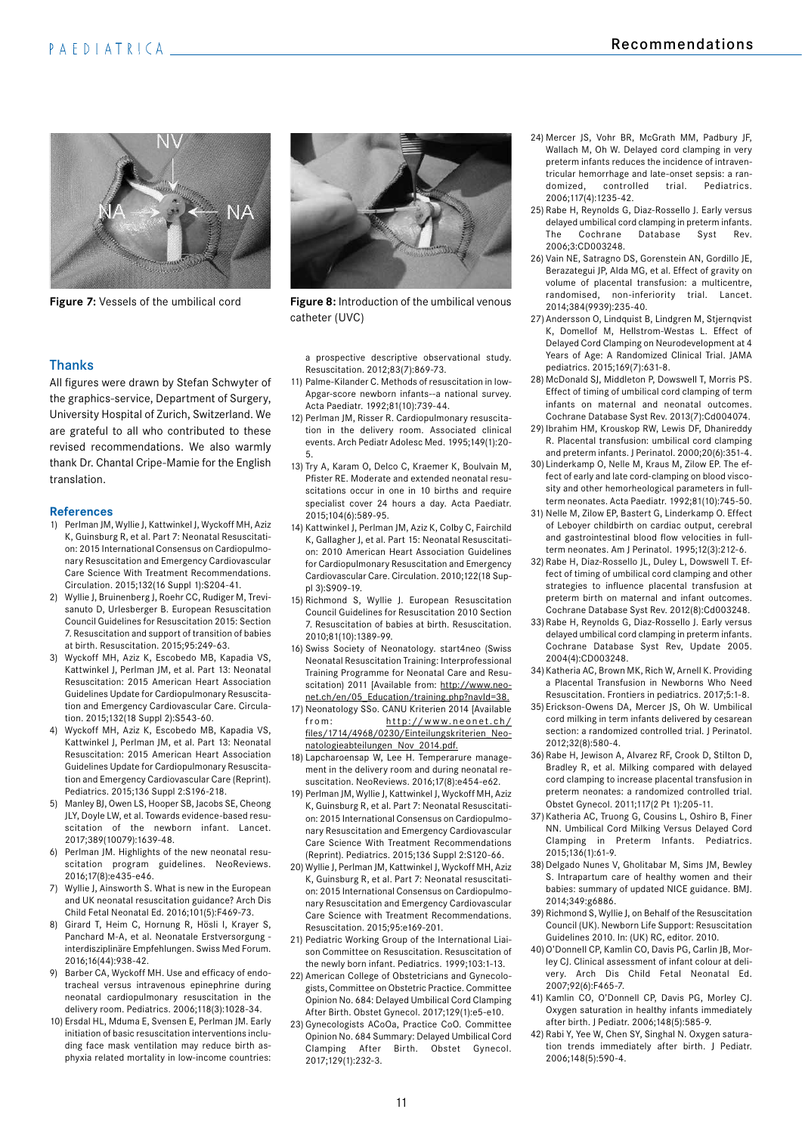

**Figure 7:** Vessels of the umbilical cord **Figure 8:** Introduction of the umbilical venous

# Thanks

All figures were drawn by Stefan Schwyter of the graphics-service, Department of Surgery, University Hospital of Zurich, Switzerland. We are grateful to all who contributed to these revised recommendations. We also warmly thank Dr. Chantal Cripe-Mamie for the English translation.

#### **References**

- 1) Perlman JM, Wyllie J, Kattwinkel J, Wyckoff MH, Aziz K, Guinsburg R, et al. Part 7: Neonatal Resuscitation: 2015 International Consensus on Cardiopulmonary Resuscitation and Emergency Cardiovascular Care Science With Treatment Recommendations. Circulation. 2015;132(16 Suppl 1):S204-41.
- 2) Wyllie J, Bruinenberg J, Roehr CC, Rudiger M, Trevisanuto D, Urlesberger B. European Resuscitation Council Guidelines for Resuscitation 2015: Section 7. Resuscitation and support of transition of babies at birth. Resuscitation. 2015;95:249-63.
- 3) Wyckoff MH, Aziz K, Escobedo MB, Kapadia VS, Kattwinkel J, Perlman JM, et al. Part 13: Neonatal Resuscitation: 2015 American Heart Association Guidelines Update for Cardiopulmonary Resuscitation and Emergency Cardiovascular Care. Circulation. 2015;132(18 Suppl 2):S543-60.
- 4) Wyckoff MH, Aziz K, Escobedo MB, Kapadia VS, Kattwinkel J, Perlman JM, et al. Part 13: Neonatal Resuscitation: 2015 American Heart Association Guidelines Update for Cardiopulmonary Resuscitation and Emergency Cardiovascular Care (Reprint). Pediatrics. 2015;136 Suppl 2:S196-218.
- 5) Manley BJ, Owen LS, Hooper SB, Jacobs SE, Cheong JLY, Doyle LW, et al. Towards evidence-based resuscitation of the newborn infant. Lancet. 2017;389(10079):1639-48.
- 6) Perlman JM. Highlights of the new neonatal resuscitation program guidelines. NeoReviews. 2016;17(8):e435-e46.
- 7) Wyllie J, Ainsworth S. What is new in the European and UK neonatal resuscitation guidance? Arch Dis Child Fetal Neonatal Ed. 2016;101(5):F469-73.
- 8) Girard T, Heim C, Hornung R, Hösli I, Krayer S, Panchard M-A, et al. Neonatale Erstversorgung interdisziplinäre Empfehlungen. Swiss Med Forum. 2016;16(44):938-42.
- 9) Barber CA, Wyckoff MH. Use and efficacy of endotracheal versus intravenous epinephrine during neonatal cardiopulmonary resuscitation in the delivery room. Pediatrics. 2006;118(3):1028-34.
- 10) Ersdal HL, Mduma E, Svensen E, Perlman JM. Early initiation of basic resuscitation interventions including face mask ventilation may reduce birth asphyxia related mortality in low-income countries:



catheter (UVC)

a prospective descriptive observational study. Resuscitation. 2012;83(7):869-73.

- 11) Palme-Kilander C. Methods of resuscitation in low-Apgar-score newborn infants--a national survey. Acta Paediatr. 1992;81(10):739-44.
- 12) Perlman JM, Risser R. Cardiopulmonary resuscitation in the delivery room. Associated clinical events. Arch Pediatr Adolesc Med. 1995;149(1):20- 5.
- 13) Try A, Karam O, Delco C, Kraemer K, Boulvain M, Pfister RE. Moderate and extended neonatal resuscitations occur in one in 10 births and require specialist cover 24 hours a day. Acta Paediatr. 2015;104(6):589-95.
- 14) Kattwinkel J, Perlman JM, Aziz K, Colby C, Fairchild K, Gallagher J, et al. Part 15: Neonatal Resuscitation: 2010 American Heart Association Guidelines for Cardiopulmonary Resuscitation and Emergency Cardiovascular Care. Circulation. 2010;122(18 Suppl 3):S909-19.
- 15) Richmond S, Wyllie J. European Resuscitation Council Guidelines for Resuscitation 2010 Section 7. Resuscitation of babies at birth. Resuscitation. 2010;81(10):1389-99.
- 16) Swiss Society of Neonatology. start4neo (Swiss Neonatal Resuscitation Training: Interprofessional Training Programme for Neonatal Care and Resuscitation) 2011 [Available from: http://www.neonet.ch/en/05\_Education/training.php?navId=38.
- 17) Neonatology SSo. CANU Kriterien 2014 [Available from: http://www.neonet.ch/ files/1714/4968/0230/Einteilungskriterien\_Neonatologieabteilungen\_Nov\_2014.pdf.
- 18) Lapcharoensap W, Lee H. Temperarure management in the delivery room and during neonatal resuscitation. NeoReviews. 2016;17(8):e454-e62.
- 19) Perlman JM, Wyllie J, Kattwinkel J, Wyckoff MH, Aziz K, Guinsburg R, et al. Part 7: Neonatal Resuscitation: 2015 International Consensus on Cardiopulmonary Resuscitation and Emergency Cardiovascular Care Science With Treatment Recommendations (Reprint). Pediatrics. 2015;136 Suppl 2:S120-66.
- 20) Wyllie J, Perlman JM, Kattwinkel J, Wyckoff MH, Aziz K, Guinsburg R, et al. Part 7: Neonatal resuscitation: 2015 International Consensus on Cardiopulmonary Resuscitation and Emergency Cardiovascular Care Science with Treatment Recommendations. Resuscitation. 2015;95:e169-201.
- 21) Pediatric Working Group of the International Liaison Committee on Resuscitation. Resuscitation of the newly born infant. Pediatrics. 1999;103:1-13.
- 22) American College of Obstetricians and Gynecologists, Committee on Obstetric Practice. Committee Opinion No. 684: Delayed Umbilical Cord Clamping After Birth. Obstet Gynecol. 2017;129(1):e5-e10.
- 23) Gynecologists ACoOa, Practice CoO. Committee Opinion No. 684 Summary: Delayed Umbilical Cord Clamping After Birth. Obstet Gynecol. 2017;129(1):232-3.
- 24) Mercer JS, Vohr BR, McGrath MM, Padbury JF, Wallach M, Oh W. Delayed cord clamping in very preterm infants reduces the incidence of intraventricular hemorrhage and late-onset sepsis: a randomized, controlled trial. Pediatrics. 2006;117(4):1235-42.
- 25) Rabe H, Reynolds G, Diaz-Rossello J. Early versus delayed umbilical cord clamping in preterm infants. The Cochrane Database Syst Rev. 2006;3:CD003248.
- 26) Vain NE, Satragno DS, Gorenstein AN, Gordillo JE, Berazategui JP, Alda MG, et al. Effect of gravity on volume of placental transfusion: a multicentre, randomised, non-inferiority trial. Lancet. 2014;384(9939):235-40.
- 27) Andersson O, Lindquist B, Lindgren M, Stjernqvist K, Domellof M, Hellstrom-Westas L. Effect of Delayed Cord Clamping on Neurodevelopment at 4 Years of Age: A Randomized Clinical Trial. JAMA pediatrics. 2015;169(7):631-8.
- 28) McDonald SJ, Middleton P, Dowswell T, Morris PS. Effect of timing of umbilical cord clamping of term infants on maternal and neonatal outcomes. Cochrane Database Syst Rev. 2013(7):Cd004074.
- 29) Ibrahim HM, Krouskop RW, Lewis DF, Dhanireddy R. Placental transfusion: umbilical cord clamping and preterm infants. J Perinatol. 2000;20(6):351-4.
- 30) Linderkamp O, Nelle M, Kraus M, Zilow EP. The effect of early and late cord-clamping on blood viscosity and other hemorheological parameters in fullterm neonates. Acta Paediatr. 1992;81(10):745-50.
- 31) Nelle M, Zilow EP, Bastert G, Linderkamp O. Effect of Leboyer childbirth on cardiac output, cerebral and gastrointestinal blood flow velocities in fullterm neonates. Am J Perinatol. 1995;12(3):212-6.
- 32) Rabe H, Diaz-Rossello JL, Duley L, Dowswell T. Effect of timing of umbilical cord clamping and other strategies to influence placental transfusion at preterm birth on maternal and infant outcomes. Cochrane Database Syst Rev. 2012(8):Cd003248.
- 33) Rabe H, Reynolds G, Diaz-Rossello J. Early versus delayed umbilical cord clamping in preterm infants. Cochrane Database Syst Rev, Update 2005. 2004(4):CD003248.
- 34) Katheria AC, Brown MK, Rich W, Arnell K. Providing a Placental Transfusion in Newborns Who Need Resuscitation. Frontiers in pediatrics. 2017;5:1-8.
- 35) Erickson-Owens DA, Mercer JS, Oh W. Umbilical cord milking in term infants delivered by cesarean section: a randomized controlled trial. J Perinatol. 2012;32(8):580-4.
- 36) Rabe H, Jewison A, Alvarez RF, Crook D, Stilton D, Bradley R, et al. Milking compared with delayed cord clamping to increase placental transfusion in preterm neonates: a randomized controlled trial. Obstet Gynecol. 2011;117(2 Pt 1):205-11.
- 37) Katheria AC, Truong G, Cousins L, Oshiro B, Finer NN. Umbilical Cord Milking Versus Delayed Cord Clamping in Preterm Infants. Pediatrics. 2015;136(1):61-9.
- 38) Delgado Nunes V, Gholitabar M, Sims JM, Bewley S. Intrapartum care of healthy women and their babies: summary of updated NICE guidance. BMJ. 2014;349:g6886.
- 39) Richmond S, Wyllie J, on Behalf of the Resuscitation Council (UK). Newborn Life Support: Resuscitation Guidelines 2010. In: (UK) RC, editor. 2010.
- 40) O'Donnell CP, Kamlin CO, Davis PG, Carlin IB, Morley CJ. Clinical assessment of infant colour at delivery. Arch Dis Child Fetal Neonatal Ed. 2007;92(6):F465-7.
- 41) Kamlin CO, O'Donnell CP, Davis PG, Morley CJ. Oxygen saturation in healthy infants immediately after birth. J Pediatr. 2006;148(5):585-9.
- 42) Rabi Y, Yee W, Chen SY, Singhal N. Oxygen saturation trends immediately after birth. J Pediatr. 2006;148(5):590-4.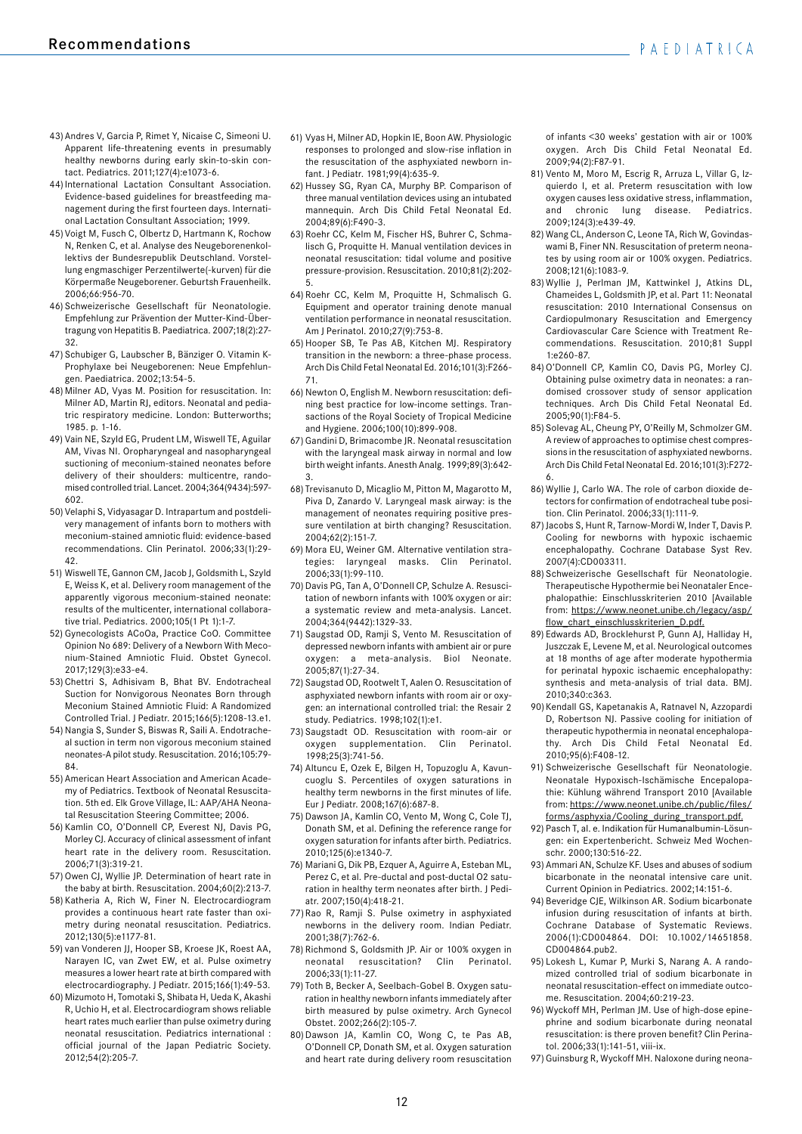- 43) Andres V, Garcia P, Rimet Y, Nicaise C, Simeoni U. Apparent life-threatening events in presumably healthy newborns during early skin-to-skin contact. Pediatrics. 2011;127(4):e1073-6.
- 44) International Lactation Consultant Association. Evidence-based guidelines for breastfeeding management during the first fourteen days. International Lactation Consultant Association; 1999.
- 45) Voigt M, Fusch C, Olbertz D, Hartmann K, Rochow N, Renken C, et al. Analyse des Neugeborenenkollektivs der Bundesrepublik Deutschland. Vorstellung engmaschiger Perzentilwerte(-kurven) für die Körpermaße Neugeborener. Geburtsh Frauenheilk. 2006;66:956-70.
- 46) Schweizerische Gesellschaft für Neonatologie. Empfehlung zur Prävention der Mutter-Kind-Übertragung von Hepatitis B. Paediatrica. 2007;18(2):27- 32.
- 47) Schubiger G, Laubscher B, Bänziger O. Vitamin K-Prophylaxe bei Neugeborenen: Neue Empfehlungen. Paediatrica. 2002;13:54-5.
- 48) Milner AD, Vyas M. Position for resuscitation. In: Milner AD, Martin RJ, editors. Neonatal and pediatric respiratory medicine. London: Butterworths; 1985. p. 1-16.
- 49) Vain NE, Szyld EG, Prudent LM, Wiswell TE, Aguilar AM, Vivas NI. Oropharyngeal and nasopharyngeal suctioning of meconium-stained neonates before delivery of their shoulders: multicentre, randomised controlled trial. Lancet. 2004;364(9434):597- 602.
- 50) Velaphi S, Vidyasagar D. Intrapartum and postdelivery management of infants born to mothers with meconium-stained amniotic fluid: evidence-based recommendations. Clin Perinatol. 2006;33(1):29- 42.
- 51) Wiswell TE, Gannon CM, Jacob J, Goldsmith L, Szyld E, Weiss K, et al. Delivery room management of the apparently vigorous meconium-stained neonate: results of the multicenter, international collaborative trial. Pediatrics. 2000;105(1 Pt 1):1-7.
- 52) Gynecologists ACoOa, Practice CoO. Committee Opinion No 689: Delivery of a Newborn With Meconium-Stained Amniotic Fluid. Obstet Gynecol. 2017;129(3):e33-e4.
- 53) Chettri S, Adhisivam B, Bhat BV. Endotracheal Suction for Nonvigorous Neonates Born through Meconium Stained Amniotic Fluid: A Randomized Controlled Trial. J Pediatr. 2015;166(5):1208-13.e1.
- 54) Nangia S, Sunder S, Biswas R, Saili A. Endotracheal suction in term non vigorous meconium stained neonates-A pilot study. Resuscitation. 2016;105:79- 84.
- 55) American Heart Association and American Academy of Pediatrics. Textbook of Neonatal Resuscitation. 5th ed. Elk Grove Village, IL: AAP/AHA Neonatal Resuscitation Steering Committee; 2006.
- 56) Kamlin CO, O'Donnell CP, Everest NJ, Davis PG, Morley CJ. Accuracy of clinical assessment of infant heart rate in the delivery room. Resuscitation. 2006;71(3):319-21.
- 57) Owen CJ, Wyllie JP. Determination of heart rate in the baby at birth. Resuscitation. 2004;60(2):213-7.
- 58) Katheria A, Rich W, Finer N. Electrocardiogram provides a continuous heart rate faster than oximetry during neonatal resuscitation. Pediatrics. 2012;130(5):e1177-81.
- 59) van Vonderen JJ, Hooper SB, Kroese JK, Roest AA, Narayen IC, van Zwet EW, et al. Pulse oximetry measures a lower heart rate at birth compared with electrocardiography. J Pediatr. 2015;166(1):49-53.
- 60) Mizumoto H, Tomotaki S, Shibata H, Ueda K, Akashi R, Uchio H, et al. Electrocardiogram shows reliable heart rates much earlier than pulse oximetry during neonatal resuscitation. Pediatrics international : official journal of the Japan Pediatric Society. 2012;54(2):205-7.
- 61) Vyas H, Milner AD, Hopkin IE, Boon AW. Physiologic responses to prolonged and slow-rise inflation in the resuscitation of the asphyxiated newborn infant. J Pediatr. 1981;99(4):635-9.
- 62) Hussey SG, Ryan CA, Murphy BP. Comparison of three manual ventilation devices using an intubated mannequin. Arch Dis Child Fetal Neonatal Ed. 2004;89(6):F490-3.
- 63) Roehr CC, Kelm M, Fischer HS, Buhrer C, Schmalisch G, Proquitte H. Manual ventilation devices in neonatal resuscitation: tidal volume and positive pressure-provision. Resuscitation. 2010;81(2):202- 5.
- 64) Roehr CC, Kelm M, Proquitte H, Schmalisch G. Equipment and operator training denote manual ventilation performance in neonatal resuscitation. Am J Perinatol. 2010;27(9):753-8.
- 65) Hooper SB, Te Pas AB, Kitchen MJ. Respiratory transition in the newborn: a three-phase process. Arch Dis Child Fetal Neonatal Ed. 2016;101(3):F266- 71.
- 66) Newton O, English M. Newborn resuscitation: defining best practice for low-income settings. Transactions of the Royal Society of Tropical Medicine and Hygiene. 2006;100(10):899-908.
- 67) Gandini D, Brimacombe JR. Neonatal resuscitation with the laryngeal mask airway in normal and low birth weight infants. Anesth Analg. 1999;89(3):642- 3.
- 68) Trevisanuto D, Micaglio M, Pitton M, Magarotto M, Piva D, Zanardo V. Laryngeal mask airway: is the management of neonates requiring positive pressure ventilation at birth changing? Resuscitation. 2004;62(2):151-7.
- 69) Mora EU, Weiner GM. Alternative ventilation strategies: laryngeal masks. Clin Perinatol. 2006;33(1):99-110.
- 70) Davis PG, Tan A, O'Donnell CP, Schulze A. Resuscitation of newborn infants with 100% oxygen or air: a systematic review and meta-analysis. Lancet. 2004;364(9442):1329-33.
- 71) Saugstad OD, Ramji S, Vento M. Resuscitation of depressed newborn infants with ambient air or pure oxygen: a meta-analysis. Biol Neonate. 2005;87(1):27-34.
- 72) Saugstad OD, Rootwelt T, Aalen O. Resuscitation of asphyxiated newborn infants with room air or oxygen: an international controlled trial: the Resair 2 study. Pediatrics. 1998;102(1):e1.
- 73) Saugstadt OD. Resuscitation with room-air or oxygen supplementation. Clin Perinatol. 1998;25(3):741-56.
- 74) Altuncu E, Ozek E, Bilgen H, Topuzoglu A, Kavuncuoglu S. Percentiles of oxygen saturations in healthy term newborns in the first minutes of life. Eur J Pediatr. 2008;167(6):687-8.
- 75) Dawson JA, Kamlin CO, Vento M, Wong C, Cole TJ, Donath SM, et al. Defining the reference range for oxygen saturation for infants after birth. Pediatrics. 2010;125(6):e1340-7.
- 76) Mariani G, Dik PB, Ezquer A, Aguirre A, Esteban ML, Perez C, et al. Pre-ductal and post-ductal O2 saturation in healthy term neonates after birth. J Pediatr. 2007;150(4):418-21.
- 77) Rao R, Ramji S. Pulse oximetry in asphyxiated newborns in the delivery room. Indian Pediatr. 2001;38(7):762-6.
- 78) Richmond S, Goldsmith JP. Air or 100% oxygen in neonatal resuscitation? Clin Perinatol. 2006;33(1):11-27.
- 79) Toth B, Becker A, Seelbach-Gobel B. Oxygen saturation in healthy newborn infants immediately after birth measured by pulse oximetry. Arch Gynecol Obstet. 2002;266(2):105-7.
- 80) Dawson JA, Kamlin CO, Wong C, te Pas AB, O'Donnell CP, Donath SM, et al. Oxygen saturation and heart rate during delivery room resuscitation

of infants <30 weeks' gestation with air or 100% oxygen. Arch Dis Child Fetal Neonatal Ed. 2009;94(2):F87-91.

- 81) Vento M, Moro M, Escrig R, Arruza L, Villar G, Izquierdo I, et al. Preterm resuscitation with low oxygen causes less oxidative stress, inflammation, and chronic lung disease. Pediatrics. 2009;124(3):e439-49.
- 82) Wang CL, Anderson C, Leone TA, Rich W, Govindaswami B, Finer NN. Resuscitation of preterm neonates by using room air or 100% oxygen. Pediatrics. 2008;121(6):1083-9.
- 83) Wyllie J, Perlman JM, Kattwinkel J, Atkins DL, Chameides L, Goldsmith JP, et al. Part 11: Neonatal resuscitation: 2010 International Consensus on Cardiopulmonary Resuscitation and Emergency Cardiovascular Care Science with Treatment Recommendations. Resuscitation. 2010;81 Suppl 1:e260-87.
- 84) O'Donnell CP, Kamlin CO, Davis PG, Morley CJ. Obtaining pulse oximetry data in neonates: a randomised crossover study of sensor application techniques. Arch Dis Child Fetal Neonatal Ed. 2005;90(1):F84-5.
- 85) Solevag AL, Cheung PY, O'Reilly M, Schmolzer GM. A review of approaches to optimise chest compressions in the resuscitation of asphyxiated newborns. Arch Dis Child Fetal Neonatal Ed. 2016;101(3):F272- 6.
- 86) Wyllie J, Carlo WA. The role of carbon dioxide detectors for confirmation of endotracheal tube position. Clin Perinatol. 2006;33(1):111-9.
- 87) Jacobs S, Hunt R, Tarnow-Mordi W, Inder T, Davis P. Cooling for newborns with hypoxic ischaemic encephalopathy. Cochrane Database Syst Rev. 2007(4):CD003311.
- 88) Schweizerische Gesellschaft für Neonatologie. Therapeutische Hypothermie bei Neonataler Encephalopathie: Einschlusskriterien 2010 [Available from: https://www.neonet.unibe.ch/legacy/asp/ flow\_chart\_einschlusskriterien\_D.pdf.
- 89) Edwards AD, Brocklehurst P, Gunn AJ, Halliday H, Juszczak E, Levene M, et al. Neurological outcomes at 18 months of age after moderate hypothermia for perinatal hypoxic ischaemic encephalopathy: synthesis and meta-analysis of trial data. BMJ. 2010;340:c363.
- 90) Kendall GS, Kapetanakis A, Ratnavel N, Azzopardi D, Robertson NJ. Passive cooling for initiation of therapeutic hypothermia in neonatal encephalopathy. Arch Dis Child Fetal Neonatal Ed. 2010;95(6):F408-12.
- 91) Schweizerische Gesellschaft für Neonatologie. Neonatale Hypoxisch-Ischämische Encepalopathie: Kühlung während Transport 2010 [Available from: https://www.neonet.unibe.ch/public/files/ forms/asphyxia/Cooling\_during\_transport.pdf.
- 92) Pasch T, al. e. Indikation für Humanalbumin-Lösungen: ein Expertenbericht. Schweiz Med Wochenschr. 2000;130:516-22.
- 93) Ammari AN, Schulze KF. Uses and abuses of sodium bicarbonate in the neonatal intensive care unit. Current Opinion in Pediatrics. 2002;14:151-6.
- 94) Beveridge CJE, Wilkinson AR. Sodium bicarbonate infusion during resuscitation of infants at birth. Cochrane Database of Systematic Reviews. 2006(1):CD004864. DOI: 10.1002/14651858. CD004864.pub2.
- 95) Lokesh L, Kumar P, Murki S, Narang A. A randomized controlled trial of sodium bicarbonate in neonatal resuscitation-effect on immediate outcome. Resuscitation. 2004;60:219-23.
- 96) Wyckoff MH, Perlman JM. Use of high-dose epinephrine and sodium bicarbonate during neonatal resuscitation: is there proven benefit? Clin Perinatol. 2006;33(1):141-51, viii-ix.
- 97) Guinsburg R, Wyckoff MH. Naloxone during neona-